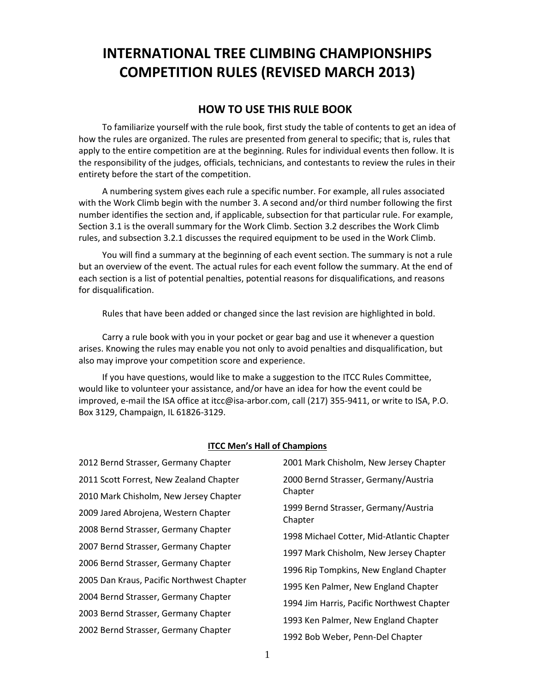# **INTERNATIONAL TREE CLIMBING CHAMPIONSHIPS COMPETITION RULES (REVISED MARCH 2013)**

## **HOW TO USE THIS RULE BOOK**

To familiarize yourself with the rule book, first study the table of contents to get an idea of how the rules are organized. The rules are presented from general to specific; that is, rules that apply to the entire competition are at the beginning. Rules for individual events then follow. It is the responsibility of the judges, officials, technicians, and contestants to review the rules in their entirety before the start of the competition.

A numbering system gives each rule a specific number. For example, all rules associated with the Work Climb begin with the number 3. A second and/or third number following the first number identifies the section and, if applicable, subsection for that particular rule. For example, Section 3.1 is the overall summary for the Work Climb. Section 3.2 describes the Work Climb rules, and subsection 3.2.1 discusses the required equipment to be used in the Work Climb.

You will find a summary at the beginning of each event section. The summary is not a rule but an overview of the event. The actual rules for each event follow the summary. At the end of each section is a list of potential penalties, potential reasons for disqualifications, and reasons for disqualification.

Rules that have been added or changed since the last revision are highlighted in bold.

Carry a rule book with you in your pocket or gear bag and use it whenever a question arises. Knowing the rules may enable you not only to avoid penalties and disqualification, but also may improve your competition score and experience.

If you have questions, would like to make a suggestion to the ITCC Rules Committee, would like to volunteer your assistance, and/or have an idea for how the event could be improved, e-mail the ISA office at itcc@isa-arbor.com, call (217) 355-9411, or write to ISA, P.O. Box 3129, Champaign, IL 61826-3129.

#### **ITCC Men's Hall of Champions**

| 2012 Bernd Strasser, Germany Chapter      | 2001 Mark Chisholm, New Jersey Chapter                                             |  |
|-------------------------------------------|------------------------------------------------------------------------------------|--|
| 2011 Scott Forrest, New Zealand Chapter   | 2000 Bernd Strasser, Germany/Austria                                               |  |
| 2010 Mark Chisholm, New Jersey Chapter    | Chapter                                                                            |  |
| 2009 Jared Abrojena, Western Chapter      | 1999 Bernd Strasser, Germany/Austria<br>Chapter                                    |  |
| 2008 Bernd Strasser, Germany Chapter      | 1998 Michael Cotter, Mid-Atlantic Chapter                                          |  |
| 2007 Bernd Strasser, Germany Chapter      | 1997 Mark Chisholm, New Jersey Chapter                                             |  |
| 2006 Bernd Strasser, Germany Chapter      | 1996 Rip Tompkins, New England Chapter                                             |  |
| 2005 Dan Kraus, Pacific Northwest Chapter | 1995 Ken Palmer, New England Chapter                                               |  |
| 2004 Bernd Strasser, Germany Chapter      |                                                                                    |  |
| 2003 Bernd Strasser, Germany Chapter      | 1994 Jim Harris, Pacific Northwest Chapter<br>1993 Ken Palmer, New England Chapter |  |
| 2002 Bernd Strasser, Germany Chapter      |                                                                                    |  |
|                                           | 1992 Bob Weber, Penn-Del Chapter                                                   |  |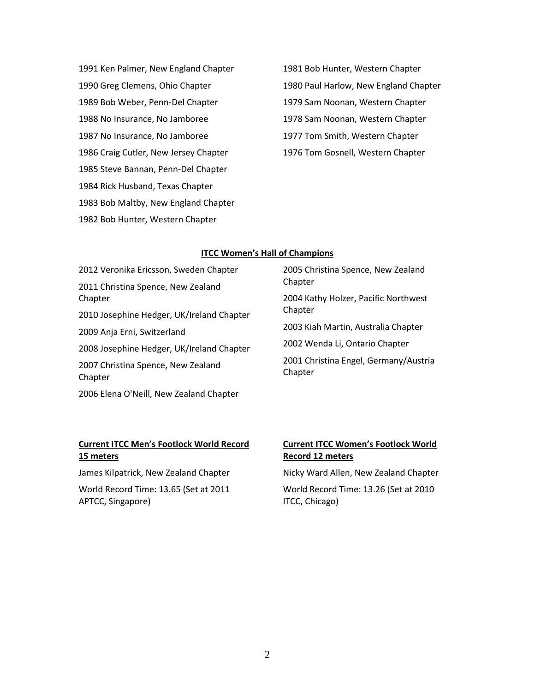1991 Ken Palmer, New England Chapter 1990 Greg Clemens, Ohio Chapter 1989 Bob Weber, Penn-Del Chapter 1988 No Insurance, No Jamboree 1987 No Insurance, No Jamboree 1986 Craig Cutler, New Jersey Chapter 1985 Steve Bannan, Penn-Del Chapter 1984 Rick Husband, Texas Chapter 1983 Bob Maltby, New England Chapter 1982 Bob Hunter, Western Chapter

1981 Bob Hunter, Western Chapter 1980 Paul Harlow, New England Chapter 1979 Sam Noonan, Western Chapter 1978 Sam Noonan, Western Chapter 1977 Tom Smith, Western Chapter 1976 Tom Gosnell, Western Chapter

#### **ITCC Women's Hall of Champions**

2012 Veronika Ericsson, Sweden Chapter 2011 Christina Spence, New Zealand Chapter 2010 Josephine Hedger, UK/Ireland Chapter 2009 Anja Erni, Switzerland 2008 Josephine Hedger, UK/Ireland Chapter 2007 Christina Spence, New Zealand Chapter 2006 Elena O'Neill, New Zealand Chapter

2005 Christina Spence, New Zealand Chapter 2004 Kathy Holzer, Pacific Northwest Chapter 2003 Kiah Martin, Australia Chapter 2002 Wenda Li, Ontario Chapter 2001 Christina Engel, Germany/Austria Chapter

## **Current ITCC Men's Footlock World Record 15 meters**

James Kilpatrick, New Zealand Chapter

World Record Time: 13.65 (Set at 2011 APTCC, Singapore)

## **Current ITCC Women's Footlock World Record 12 meters**

Nicky Ward Allen, New Zealand Chapter

World Record Time: 13.26 (Set at 2010 ITCC, Chicago)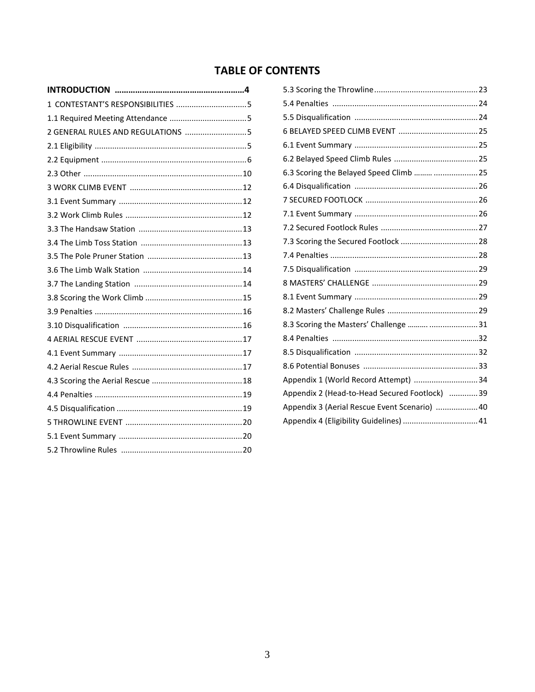## **TABLE OF CONTENTS**

| 6.3 Scoring the Belayed Speed Climb   25      |  |
|-----------------------------------------------|--|
|                                               |  |
|                                               |  |
|                                               |  |
|                                               |  |
|                                               |  |
|                                               |  |
|                                               |  |
|                                               |  |
|                                               |  |
|                                               |  |
| 8.3 Scoring the Masters' Challenge   31       |  |
|                                               |  |
|                                               |  |
|                                               |  |
|                                               |  |
| Appendix 2 (Head-to-Head Secured Footlock) 39 |  |
| Appendix 3 (Aerial Rescue Event Scenario)  40 |  |
| Appendix 4 (Eligibility Guidelines)  41       |  |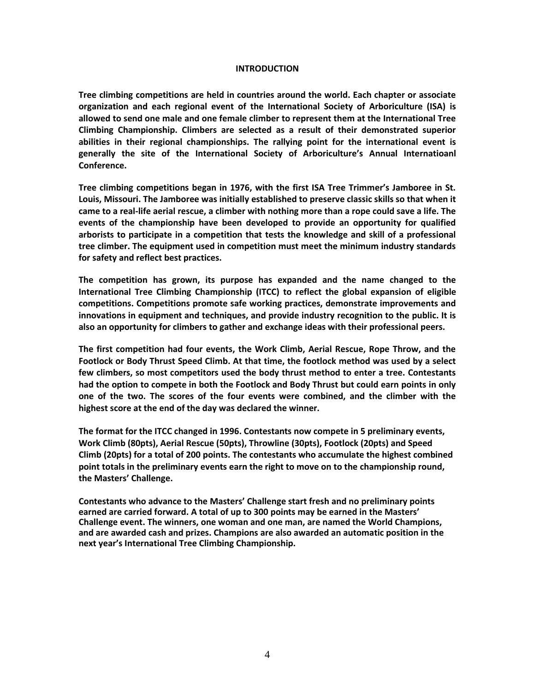#### **INTRODUCTION**

**Tree climbing competitions are held in countries around the world. Each chapter or associate organization and each regional event of the International Society of Arboriculture (ISA) is allowed to send one male and one female climber to represent them at the International Tree Climbing Championship. Climbers are selected as a result of their demonstrated superior abilities in their regional championships. The rallying point for the international event is generally the site of the International Society of Arboriculture's Annual Internatioanl Conference.** 

**Tree climbing competitions began in 1976, with the first ISA Tree Trimmer's Jamboree in St. Louis, Missouri. The Jamboree was initially established to preserve classic skills so that when it came to a real-life aerial rescue, a climber with nothing more than a rope could save a life. The events of the championship have been developed to provide an opportunity for qualified arborists to participate in a competition that tests the knowledge and skill of a professional tree climber. The equipment used in competition must meet the minimum industry standards for safety and reflect best practices.**

**The competition has grown, its purpose has expanded and the name changed to the International Tree Climbing Championship (ITCC) to reflect the global expansion of eligible competitions. Competitions promote safe working practices, demonstrate improvements and innovations in equipment and techniques, and provide industry recognition to the public. It is also an opportunity for climbers to gather and exchange ideas with their professional peers.**

**The first competition had four events, the Work Climb, Aerial Rescue, Rope Throw, and the Footlock or Body Thrust Speed Climb. At that time, the footlock method was used by a select few climbers, so most competitors used the body thrust method to enter a tree. Contestants had the option to compete in both the Footlock and Body Thrust but could earn points in only one of the two. The scores of the four events were combined, and the climber with the highest score at the end of the day was declared the winner.** 

**The format for the ITCC changed in 1996. Contestants now compete in 5 preliminary events, Work Climb (80pts), Aerial Rescue (50pts), Throwline (30pts), Footlock (20pts) and Speed Climb (20pts) for a total of 200 points. The contestants who accumulate the highest combined point totals in the preliminary events earn the right to move on to the championship round, the Masters' Challenge.**

**Contestants who advance to the Masters' Challenge start fresh and no preliminary points earned are carried forward. A total of up to 300 points may be earned in the Masters' Challenge event. The winners, one woman and one man, are named the World Champions, and are awarded cash and prizes. Champions are also awarded an automatic position in the next year's International Tree Climbing Championship.**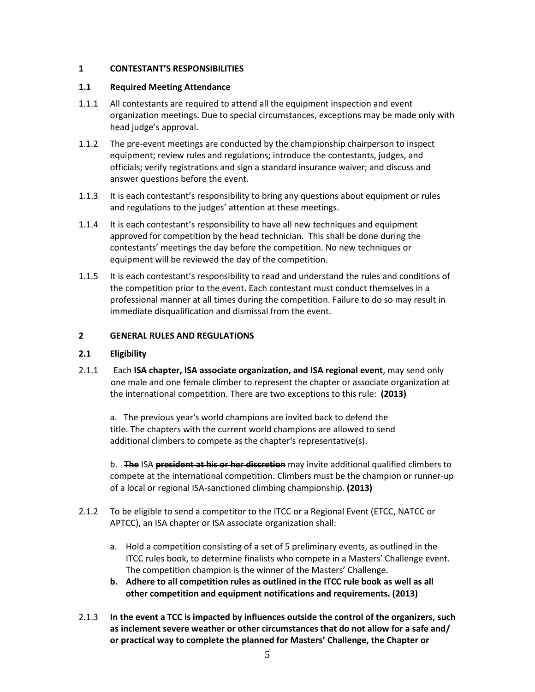## **1 CONTESTANT'S RESPONSIBILITIES**

## **1.1 Required Meeting Attendance**

- 1.1.1 All contestants are required to attend all the equipment inspection and event organization meetings. Due to special circumstances, exceptions may be made only with head judge's approval.
- 1.1.2 The pre-event meetings are conducted by the championship chairperson to inspect equipment; review rules and regulations; introduce the contestants, judges, and officials; verify registrations and sign a standard insurance waiver; and discuss and answer questions before the event.
- 1.1.3 It is each contestant's responsibility to bring any questions about equipment or rules and regulations to the judges' attention at these meetings.
- 1.1.4 It is each contestant's responsibility to have all new techniques and equipment approved for competition by the head technician. This shall be done during the contestants' meetings the day before the competition. No new techniques or equipment will be reviewed the day of the competition.
- 1.1.5 It is each contestant's responsibility to read and understand the rules and conditions of the competition prior to the event. Each contestant must conduct themselves in a professional manner at all times during the competition. Failure to do so may result in immediate disqualification and dismissal from the event.

## **2 GENERAL RULES AND REGULATIONS**

#### **2.1 Eligibility**

2.1.1 Each **ISA chapter, ISA associate organization, and ISA regional event**, may send only one male and one female climber to represent the chapter or associate organization at the international competition. There are two exceptions to this rule: **(2013)**

a. The previous year's world champions are invited back to defend the title. The chapters with the current world champions are allowed to send additional climbers to compete as the chapter's representative(s).

b. **The** ISA **president at his or her discretion** may invite additional qualified climbers to compete at the international competition. Climbers must be the champion or runner-up of a local or regional ISA-sanctioned climbing championship. **(2013)**

- 2.1.2 To be eligible to send a competitor to the ITCC or a Regional Event (ETCC, NATCC or APTCC), an ISA chapter or ISA associate organization shall:
	- a. Hold a competition consisting of a set of 5 preliminary events, as outlined in the ITCC rules book, to determine finalists who compete in a Masters' Challenge event. The competition champion is the winner of the Masters' Challenge.
	- **b. Adhere to all competition rules as outlined in the ITCC rule book as well as all other competition and equipment notifications and requirements. (2013)**
- 2.1.3 **In the event a TCC is impacted by influences outside the control of the organizers, such as inclement severe weather or other circumstances that do not allow for a safe and/ or practical way to complete the planned for Masters' Challenge, the Chapter or**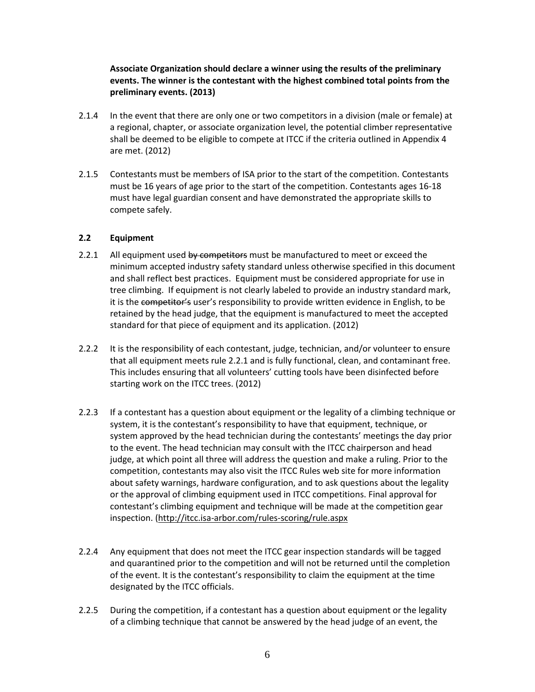## **Associate Organization should declare a winner using the results of the preliminary events. The winner is the contestant with the highest combined total points from the preliminary events. (2013)**

- 2.1.4 In the event that there are only one or two competitors in a division (male or female) at a regional, chapter, or associate organization level, the potential climber representative shall be deemed to be eligible to compete at ITCC if the criteria outlined in Appendix 4 are met. (2012)
- 2.1.5 Contestants must be members of ISA prior to the start of the competition. Contestants must be 16 years of age prior to the start of the competition. Contestants ages 16-18 must have legal guardian consent and have demonstrated the appropriate skills to compete safely.

## **2.2 Equipment**

- 2.2.1 All equipment used by competitors must be manufactured to meet or exceed the minimum accepted industry safety standard unless otherwise specified in this document and shall reflect best practices. Equipment must be considered appropriate for use in tree climbing. If equipment is not clearly labeled to provide an industry standard mark, it is the competitor's user's responsibility to provide written evidence in English, to be retained by the head judge, that the equipment is manufactured to meet the accepted standard for that piece of equipment and its application. (2012)
- 2.2.2 It is the responsibility of each contestant, judge, technician, and/or volunteer to ensure that all equipment meets rule 2.2.1 and is fully functional, clean, and contaminant free. This includes ensuring that all volunteers' cutting tools have been disinfected before starting work on the ITCC trees. (2012)
- 2.2.3 If a contestant has a question about equipment or the legality of a climbing technique or system, it is the contestant's responsibility to have that equipment, technique, or system approved by the head technician during the contestants' meetings the day prior to the event. The head technician may consult with the ITCC chairperson and head judge, at which point all three will address the question and make a ruling. Prior to the competition, contestants may also visit the ITCC Rules web site for more information about safety warnings, hardware configuration, and to ask questions about the legality or the approval of climbing equipment used in ITCC competitions. Final approval for contestant's climbing equipment and technique will be made at the competition gear inspection. [\(http://itcc.isa-arbor.com/rules-scoring/rule.aspx](http://itcc.isa-arbor.com/rules-scoring/rule.aspx)
- 2.2.4 Any equipment that does not meet the ITCC gear inspection standards will be tagged and quarantined prior to the competition and will not be returned until the completion of the event. It is the contestant's responsibility to claim the equipment at the time designated by the ITCC officials.
- 2.2.5 During the competition, if a contestant has a question about equipment or the legality of a climbing technique that cannot be answered by the head judge of an event, the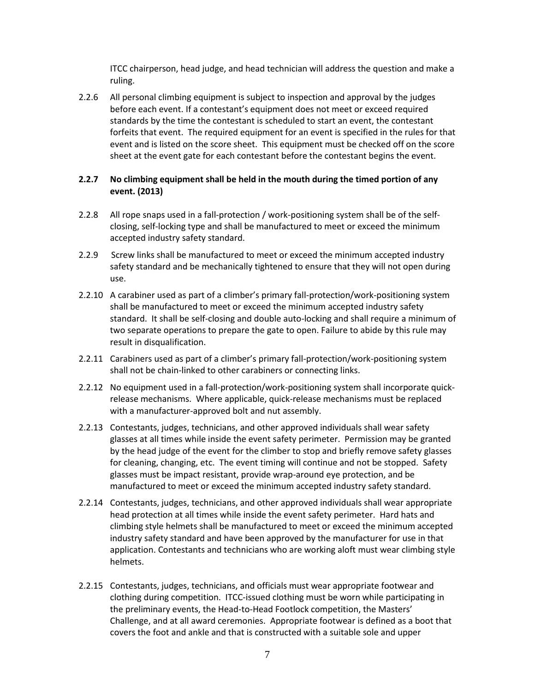ITCC chairperson, head judge, and head technician will address the question and make a ruling.

2.2.6 All personal climbing equipment is subject to inspection and approval by the judges before each event. If a contestant's equipment does not meet or exceed required standards by the time the contestant is scheduled to start an event, the contestant forfeits that event. The required equipment for an event is specified in the rules for that event and is listed on the score sheet. This equipment must be checked off on the score sheet at the event gate for each contestant before the contestant begins the event.

## **2.2.7 No climbing equipment shall be held in the mouth during the timed portion of any event. (2013)**

- 2.2.8 All rope snaps used in a fall-protection / work-positioning system shall be of the selfclosing, self-locking type and shall be manufactured to meet or exceed the minimum accepted industry safety standard.
- 2.2.9 Screw links shall be manufactured to meet or exceed the minimum accepted industry safety standard and be mechanically tightened to ensure that they will not open during use.
- 2.2.10 A carabiner used as part of a climber's primary fall-protection/work-positioning system shall be manufactured to meet or exceed the minimum accepted industry safety standard. It shall be self-closing and double auto-locking and shall require a minimum of two separate operations to prepare the gate to open. Failure to abide by this rule may result in disqualification.
- 2.2.11 Carabiners used as part of a climber's primary fall-protection/work-positioning system shall not be chain-linked to other carabiners or connecting links.
- 2.2.12 No equipment used in a fall-protection/work-positioning system shall incorporate quickrelease mechanisms. Where applicable, quick-release mechanisms must be replaced with a manufacturer-approved bolt and nut assembly.
- 2.2.13 Contestants, judges, technicians, and other approved individuals shall wear safety glasses at all times while inside the event safety perimeter. Permission may be granted by the head judge of the event for the climber to stop and briefly remove safety glasses for cleaning, changing, etc. The event timing will continue and not be stopped. Safety glasses must be impact resistant, provide wrap-around eye protection, and be manufactured to meet or exceed the minimum accepted industry safety standard.
- 2.2.14 Contestants, judges, technicians, and other approved individuals shall wear appropriate head protection at all times while inside the event safety perimeter. Hard hats and climbing style helmets shall be manufactured to meet or exceed the minimum accepted industry safety standard and have been approved by the manufacturer for use in that application. Contestants and technicians who are working aloft must wear climbing style helmets.
- 2.2.15 Contestants, judges, technicians, and officials must wear appropriate footwear and clothing during competition. ITCC-issued clothing must be worn while participating in the preliminary events, the Head-to-Head Footlock competition, the Masters' Challenge, and at all award ceremonies. Appropriate footwear is defined as a boot that covers the foot and ankle and that is constructed with a suitable sole and upper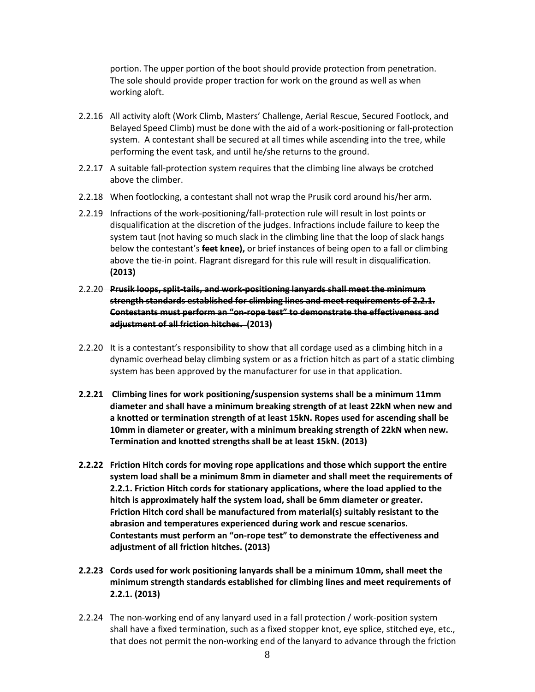portion. The upper portion of the boot should provide protection from penetration. The sole should provide proper traction for work on the ground as well as when working aloft.

- 2.2.16 All activity aloft (Work Climb, Masters' Challenge, Aerial Rescue, Secured Footlock, and Belayed Speed Climb) must be done with the aid of a work-positioning or fall-protection system. A contestant shall be secured at all times while ascending into the tree, while performing the event task, and until he/she returns to the ground.
- 2.2.17 A suitable fall-protection system requires that the climbing line always be crotched above the climber.
- 2.2.18 When footlocking, a contestant shall not wrap the Prusik cord around his/her arm.
- 2.2.19 Infractions of the work-positioning/fall-protection rule will result in lost points or disqualification at the discretion of the judges. Infractions include failure to keep the system taut (not having so much slack in the climbing line that the loop of slack hangs below the contestant's **feet knee),** or brief instances of being open to a fall or climbing above the tie-in point. Flagrant disregard for this rule will result in disqualification. **(2013)**
- 2.2.20 **Prusik loops, split-tails, and work-positioning lanyards shall meet the minimum strength standards established for climbing lines and meet requirements of 2.2.1. Contestants must perform an "on-rope test" to demonstrate the effectiveness and adjustment of all friction hitches. (2013)**
- 2.2.20 It is a contestant's responsibility to show that all cordage used as a climbing hitch in a dynamic overhead belay climbing system or as a friction hitch as part of a static climbing system has been approved by the manufacturer for use in that application.
- **2.2.21 Climbing lines for work positioning/suspension systems shall be a minimum 11mm diameter and shall have a minimum breaking strength of at least 22kN when new and a knotted or termination strength of at least 15kN. Ropes used for ascending shall be 10mm in diameter or greater, with a minimum breaking strength of 22kN when new. Termination and knotted strengths shall be at least 15kN. (2013)**
- **2.2.22 Friction Hitch cords for moving rope applications and those which support the entire system load shall be a minimum 8mm in diameter and shall meet the requirements of 2.2.1. Friction Hitch cords for stationary applications, where the load applied to the hitch is approximately half the system load, shall be 6mm diameter or greater. Friction Hitch cord shall be manufactured from material(s) suitably resistant to the abrasion and temperatures experienced during work and rescue scenarios. Contestants must perform an "on-rope test" to demonstrate the effectiveness and adjustment of all friction hitches. (2013)**
- **2.2.23 Cords used for work positioning lanyards shall be a minimum 10mm, shall meet the minimum strength standards established for climbing lines and meet requirements of 2.2.1. (2013)**
- 2.2.24 The non-working end of any lanyard used in a fall protection / work-position system shall have a fixed termination, such as a fixed stopper knot, eye splice, stitched eye, etc., that does not permit the non-working end of the lanyard to advance through the friction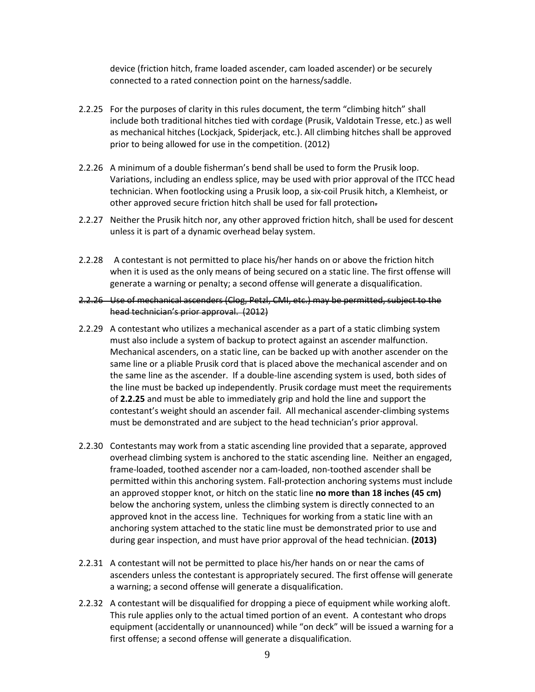device (friction hitch, frame loaded ascender, cam loaded ascender) or be securely connected to a rated connection point on the harness/saddle.

- 2.2.25 For the purposes of clarity in this rules document, the term "climbing hitch" shall include both traditional hitches tied with cordage (Prusik, Valdotain Tresse, etc.) as well as mechanical hitches (Lockjack, Spiderjack, etc.). All climbing hitches shall be approved prior to being allowed for use in the competition. (2012)
- 2.2.26 A minimum of a double fisherman's bend shall be used to form the Prusik loop. Variations, including an endless splice, may be used with prior approval of the ITCC head technician. When footlocking using a Prusik loop, a six-coil Prusik hitch, a Klemheist, or other approved secure friction hitch shall be used for fall protection.
- 2.2.27 Neither the Prusik hitch nor, any other approved friction hitch, shall be used for descent unless it is part of a dynamic overhead belay system.
- 2.2.28 A contestant is not permitted to place his/her hands on or above the friction hitch when it is used as the only means of being secured on a static line. The first offense will generate a warning or penalty; a second offense will generate a disqualification.
- 2.2.26 Use of mechanical ascenders (Clog, Petzl, CMI, etc.) may be permitted, subject to the head technician's prior approval. (2012)
- 2.2.29 A contestant who utilizes a mechanical ascender as a part of a static climbing system must also include a system of backup to protect against an ascender malfunction. Mechanical ascenders, on a static line, can be backed up with another ascender on the same line or a pliable Prusik cord that is placed above the mechanical ascender and on the same line as the ascender. If a double-line ascending system is used, both sides of the line must be backed up independently. Prusik cordage must meet the requirements of **2.2.25** and must be able to immediately grip and hold the line and support the contestant's weight should an ascender fail. All mechanical ascender-climbing systems must be demonstrated and are subject to the head technician's prior approval.
- 2.2.30 Contestants may work from a static ascending line provided that a separate, approved overhead climbing system is anchored to the static ascending line. Neither an engaged, frame-loaded, toothed ascender nor a cam-loaded, non-toothed ascender shall be permitted within this anchoring system. Fall-protection anchoring systems must include an approved stopper knot, or hitch on the static line **no more than 18 inches (45 cm)** below the anchoring system, unless the climbing system is directly connected to an approved knot in the access line. Techniques for working from a static line with an anchoring system attached to the static line must be demonstrated prior to use and during gear inspection, and must have prior approval of the head technician. **(2013)**
- 2.2.31 A contestant will not be permitted to place his/her hands on or near the cams of ascenders unless the contestant is appropriately secured. The first offense will generate a warning; a second offense will generate a disqualification.
- 2.2.32 A contestant will be disqualified for dropping a piece of equipment while working aloft. This rule applies only to the actual timed portion of an event. A contestant who drops equipment (accidentally or unannounced) while "on deck" will be issued a warning for a first offense; a second offense will generate a disqualification.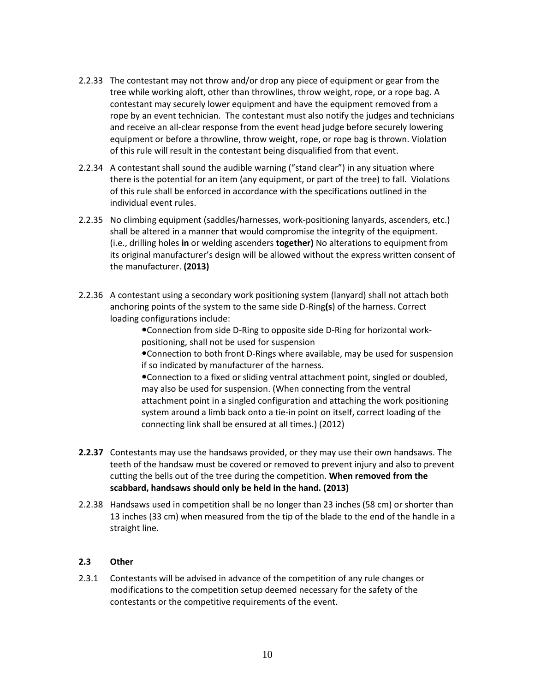- 2.2.33 The contestant may not throw and/or drop any piece of equipment or gear from the tree while working aloft, other than throwlines, throw weight, rope, or a rope bag. A contestant may securely lower equipment and have the equipment removed from a rope by an event technician. The contestant must also notify the judges and technicians and receive an all-clear response from the event head judge before securely lowering equipment or before a throwline, throw weight, rope, or rope bag is thrown. Violation of this rule will result in the contestant being disqualified from that event.
- 2.2.34 A contestant shall sound the audible warning ("stand clear") in any situation where there is the potential for an item (any equipment, or part of the tree) to fall. Violations of this rule shall be enforced in accordance with the specifications outlined in the individual event rules.
- 2.2.35 No climbing equipment (saddles/harnesses, work-positioning lanyards, ascenders, etc.) shall be altered in a manner that would compromise the integrity of the equipment. (i.e., drilling holes **in** or welding ascenders **together)** No alterations to equipment from its original manufacturer's design will be allowed without the express written consent of the manufacturer. **(2013)**
- 2.2.36 A contestant using a secondary work positioning system (lanyard) shall not attach both anchoring points of the system to the same side D-Ring**(s**) of the harness. Correct loading configurations include:

Connection from side D-Ring to opposite side D-Ring for horizontal workpositioning, shall not be used for suspension

Connection to both front D-Rings where available, may be used for suspension if so indicated by manufacturer of the harness.

Connection to a fixed or sliding ventral attachment point, singled or doubled, may also be used for suspension. (When connecting from the ventral attachment point in a singled configuration and attaching the work positioning system around a limb back onto a tie-in point on itself, correct loading of the connecting link shall be ensured at all times.) (2012)

- **2.2.37** Contestants may use the handsaws provided, or they may use their own handsaws. The teeth of the handsaw must be covered or removed to prevent injury and also to prevent cutting the bells out of the tree during the competition. **When removed from the scabbard, handsaws should only be held in the hand. (2013)**
- 2.2.38 Handsaws used in competition shall be no longer than 23 inches (58 cm) or shorter than 13 inches (33 cm) when measured from the tip of the blade to the end of the handle in a straight line.

## **2.3 Other**

2.3.1 Contestants will be advised in advance of the competition of any rule changes or modifications to the competition setup deemed necessary for the safety of the contestants or the competitive requirements of the event.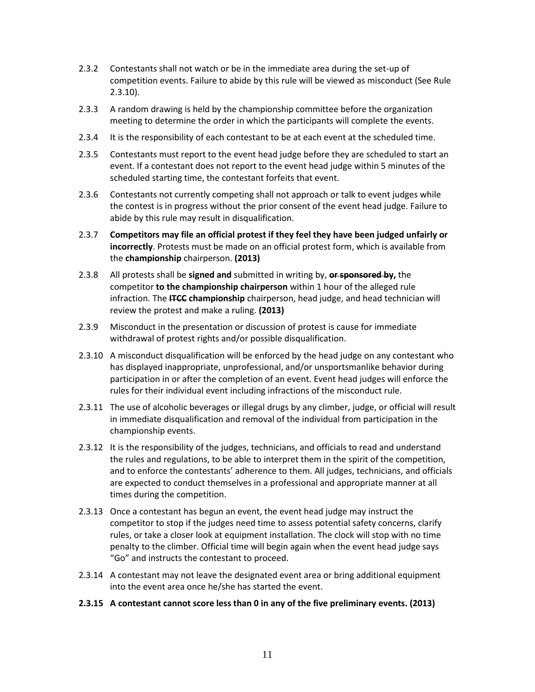- 2.3.2 Contestants shall not watch or be in the immediate area during the set-up of competition events. Failure to abide by this rule will be viewed as misconduct (See Rule 2.3.10).
- 2.3.3 A random drawing is held by the championship committee before the organization meeting to determine the order in which the participants will complete the events.
- 2.3.4 It is the responsibility of each contestant to be at each event at the scheduled time.
- 2.3.5 Contestants must report to the event head judge before they are scheduled to start an event. If a contestant does not report to the event head judge within 5 minutes of the scheduled starting time, the contestant forfeits that event.
- 2.3.6 Contestants not currently competing shall not approach or talk to event judges while the contest is in progress without the prior consent of the event head judge. Failure to abide by this rule may result in disqualification.
- 2.3.7 **Competitors may file an official protest if they feel they have been judged unfairly or incorrectly**. Protests must be made on an official protest form, which is available from the **championship** chairperson. **(2013)**
- 2.3.8 All protests shall be **signed and** submitted in writing by, **or sponsored by,** the competitor **to the championship chairperson** within 1 hour of the alleged rule infraction. The **ITCC championship** chairperson, head judge, and head technician will review the protest and make a ruling. **(2013)**
- 2.3.9 Misconduct in the presentation or discussion of protest is cause for immediate withdrawal of protest rights and/or possible disqualification.
- 2.3.10 A misconduct disqualification will be enforced by the head judge on any contestant who has displayed inappropriate, unprofessional, and/or unsportsmanlike behavior during participation in or after the completion of an event. Event head judges will enforce the rules for their individual event including infractions of the misconduct rule.
- 2.3.11 The use of alcoholic beverages or illegal drugs by any climber, judge, or official will result in immediate disqualification and removal of the individual from participation in the championship events.
- 2.3.12 It is the responsibility of the judges, technicians, and officials to read and understand the rules and regulations, to be able to interpret them in the spirit of the competition, and to enforce the contestants' adherence to them. All judges, technicians, and officials are expected to conduct themselves in a professional and appropriate manner at all times during the competition.
- 2.3.13 Once a contestant has begun an event, the event head judge may instruct the competitor to stop if the judges need time to assess potential safety concerns, clarify rules, or take a closer look at equipment installation. The clock will stop with no time penalty to the climber. Official time will begin again when the event head judge says "Go" and instructs the contestant to proceed.
- 2.3.14 A contestant may not leave the designated event area or bring additional equipment into the event area once he/she has started the event.
- **2.3.15 A contestant cannot score less than 0 in any of the five preliminary events. (2013)**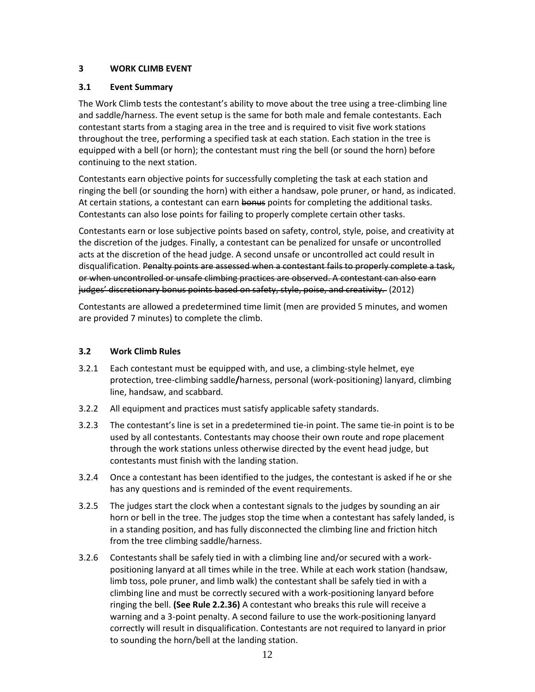## **3 WORK CLIMB EVENT**

## **3.1 Event Summary**

The Work Climb tests the contestant's ability to move about the tree using a tree-climbing line and saddle/harness. The event setup is the same for both male and female contestants. Each contestant starts from a staging area in the tree and is required to visit five work stations throughout the tree, performing a specified task at each station. Each station in the tree is equipped with a bell (or horn); the contestant must ring the bell (or sound the horn) before continuing to the next station.

Contestants earn objective points for successfully completing the task at each station and ringing the bell (or sounding the horn) with either a handsaw, pole pruner, or hand, as indicated. At certain stations, a contestant can earn bonus points for completing the additional tasks. Contestants can also lose points for failing to properly complete certain other tasks.

Contestants earn or lose subjective points based on safety, control, style, poise, and creativity at the discretion of the judges. Finally, a contestant can be penalized for unsafe or uncontrolled acts at the discretion of the head judge. A second unsafe or uncontrolled act could result in disqualification. Penalty points are assessed when a contestant fails to properly complete a task, or when uncontrolled or unsafe climbing practices are observed. A contestant can also earn judges' discretionary bonus points based on safety, style, poise, and creativity. (2012)

Contestants are allowed a predetermined time limit (men are provided 5 minutes, and women are provided 7 minutes) to complete the climb.

## **3.2 Work Climb Rules**

- 3.2.1 Each contestant must be equipped with, and use, a climbing-style helmet, eye protection, tree-climbing saddle**/**harness, personal (work-positioning) lanyard, climbing line, handsaw, and scabbard.
- 3.2.2 All equipment and practices must satisfy applicable safety standards.
- 3.2.3 The contestant's line is set in a predetermined tie-in point. The same tie-in point is to be used by all contestants. Contestants may choose their own route and rope placement through the work stations unless otherwise directed by the event head judge, but contestants must finish with the landing station.
- 3.2.4 Once a contestant has been identified to the judges, the contestant is asked if he or she has any questions and is reminded of the event requirements.
- 3.2.5 The judges start the clock when a contestant signals to the judges by sounding an air horn or bell in the tree. The judges stop the time when a contestant has safely landed, is in a standing position, and has fully disconnected the climbing line and friction hitch from the tree climbing saddle/harness.
- 3.2.6 Contestants shall be safely tied in with a climbing line and/or secured with a workpositioning lanyard at all times while in the tree. While at each work station (handsaw, limb toss, pole pruner, and limb walk) the contestant shall be safely tied in with a climbing line and must be correctly secured with a work-positioning lanyard before ringing the bell. **(See Rule 2.2.36)** A contestant who breaks this rule will receive a warning and a 3-point penalty. A second failure to use the work-positioning lanyard correctly will result in disqualification. Contestants are not required to lanyard in prior to sounding the horn/bell at the landing station.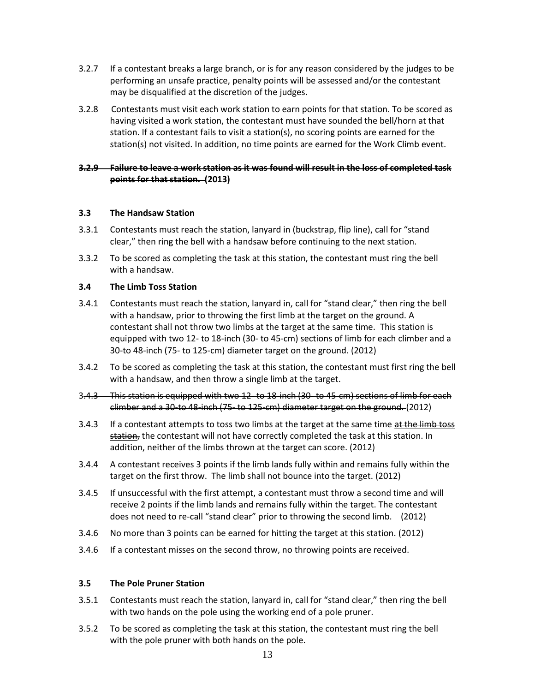- 3.2.7 If a contestant breaks a large branch, or is for any reason considered by the judges to be performing an unsafe practice, penalty points will be assessed and/or the contestant may be disqualified at the discretion of the judges.
- 3.2.8 Contestants must visit each work station to earn points for that station. To be scored as having visited a work station, the contestant must have sounded the bell/horn at that station. If a contestant fails to visit a station(s), no scoring points are earned for the station(s) not visited. In addition, no time points are earned for the Work Climb event.

## **3.2.9 Failure to leave a work station as it was found will result in the loss of completed task points for that station. (2013)**

#### **3.3 The Handsaw Station**

- 3.3.1 Contestants must reach the station, lanyard in (buckstrap, flip line), call for "stand clear," then ring the bell with a handsaw before continuing to the next station.
- 3.3.2 To be scored as completing the task at this station, the contestant must ring the bell with a handsaw.

#### **3.4 The Limb Toss Station**

- 3.4.1 Contestants must reach the station, lanyard in, call for "stand clear," then ring the bell with a handsaw, prior to throwing the first limb at the target on the ground. A contestant shall not throw two limbs at the target at the same time. This station is equipped with two 12- to 18-inch (30- to 45-cm) sections of limb for each climber and a 30-to 48-inch (75- to 125-cm) diameter target on the ground. (2012)
- 3.4.2 To be scored as completing the task at this station, the contestant must first ring the bell with a handsaw, and then throw a single limb at the target.
- 3.4.3 This station is equipped with two 12- to 18-inch (30- to 45-cm) sections of limb for each climber and a 30-to 48-inch (75- to 125-cm) diameter target on the ground. (2012)
- 3.4.3 If a contestant attempts to toss two limbs at the target at the same time at the limb toss station, the contestant will not have correctly completed the task at this station. In addition, neither of the limbs thrown at the target can score. (2012)
- 3.4.4 A contestant receives 3 points if the limb lands fully within and remains fully within the target on the first throw. The limb shall not bounce into the target. (2012)
- 3.4.5 If unsuccessful with the first attempt, a contestant must throw a second time and will receive 2 points if the limb lands and remains fully within the target. The contestant does not need to re-call "stand clear" prior to throwing the second limb. (2012)
- 3.4.6 No more than 3 points can be earned for hitting the target at this station. (2012)
- 3.4.6 If a contestant misses on the second throw, no throwing points are received.

#### **3.5 The Pole Pruner Station**

- 3.5.1 Contestants must reach the station, lanyard in, call for "stand clear," then ring the bell with two hands on the pole using the working end of a pole pruner.
- 3.5.2 To be scored as completing the task at this station, the contestant must ring the bell with the pole pruner with both hands on the pole.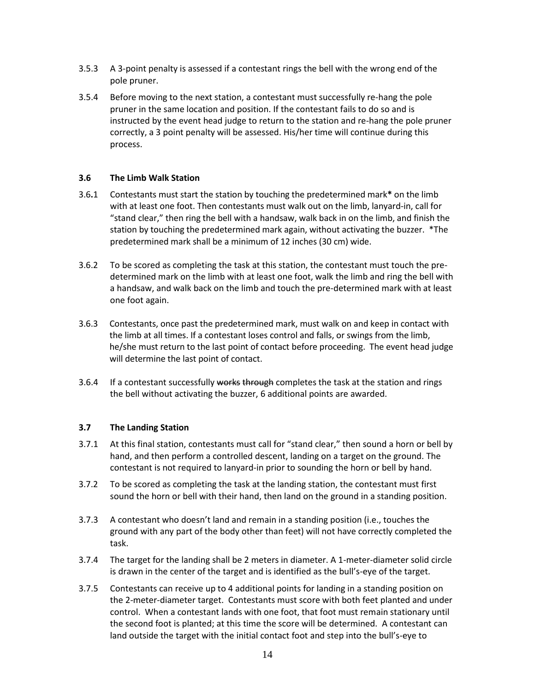- 3.5.3 A 3-point penalty is assessed if a contestant rings the bell with the wrong end of the pole pruner.
- 3.5.4 Before moving to the next station, a contestant must successfully re-hang the pole pruner in the same location and position. If the contestant fails to do so and is instructed by the event head judge to return to the station and re-hang the pole pruner correctly, a 3 point penalty will be assessed. His/her time will continue during this process.

#### **3.6 The Limb Walk Station**

- 3.6**.**1 Contestants must start the station by touching the predetermined mark**\*** on the limb with at least one foot. Then contestants must walk out on the limb, lanyard-in, call for "stand clear," then ring the bell with a handsaw, walk back in on the limb, and finish the station by touching the predetermined mark again, without activating the buzzer. \*The predetermined mark shall be a minimum of 12 inches (30 cm) wide.
- 3.6.2 To be scored as completing the task at this station, the contestant must touch the predetermined mark on the limb with at least one foot, walk the limb and ring the bell with a handsaw, and walk back on the limb and touch the pre-determined mark with at least one foot again.
- 3.6.3 Contestants, once past the predetermined mark, must walk on and keep in contact with the limb at all times. If a contestant loses control and falls, or swings from the limb, he/she must return to the last point of contact before proceeding. The event head judge will determine the last point of contact.
- 3.6.4 If a contestant successfully works through completes the task at the station and rings the bell without activating the buzzer, 6 additional points are awarded.

#### **3.7 The Landing Station**

- 3.7.1 At this final station, contestants must call for "stand clear," then sound a horn or bell by hand, and then perform a controlled descent, landing on a target on the ground. The contestant is not required to lanyard-in prior to sounding the horn or bell by hand.
- 3.7.2 To be scored as completing the task at the landing station, the contestant must first sound the horn or bell with their hand, then land on the ground in a standing position.
- 3.7.3 A contestant who doesn't land and remain in a standing position (i.e., touches the ground with any part of the body other than feet) will not have correctly completed the task.
- 3.7.4 The target for the landing shall be 2 meters in diameter. A 1-meter-diameter solid circle is drawn in the center of the target and is identified as the bull's-eye of the target.
- 3.7.5 Contestants can receive up to 4 additional points for landing in a standing position on the 2-meter-diameter target. Contestants must score with both feet planted and under control. When a contestant lands with one foot, that foot must remain stationary until the second foot is planted; at this time the score will be determined. A contestant can land outside the target with the initial contact foot and step into the bull's-eye to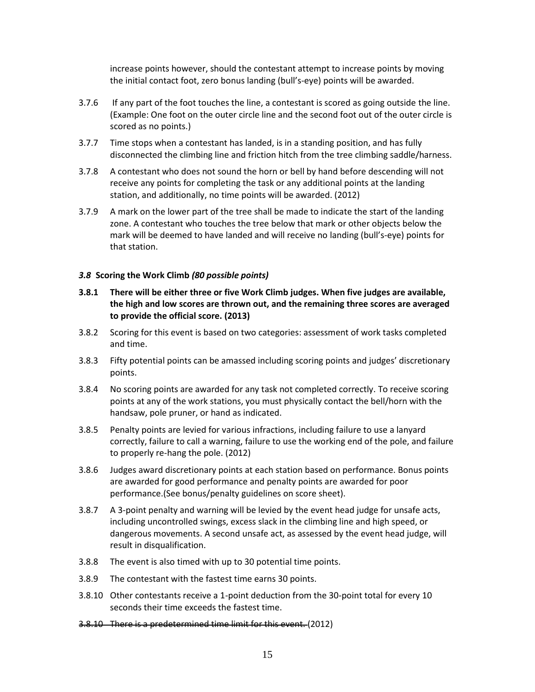increase points however, should the contestant attempt to increase points by moving the initial contact foot, zero bonus landing (bull's-eye) points will be awarded.

- 3.7.6 If any part of the foot touches the line, a contestant is scored as going outside the line. (Example: One foot on the outer circle line and the second foot out of the outer circle is scored as no points.)
- 3.7.7 Time stops when a contestant has landed, is in a standing position, and has fully disconnected the climbing line and friction hitch from the tree climbing saddle/harness.
- 3.7.8 A contestant who does not sound the horn or bell by hand before descending will not receive any points for completing the task or any additional points at the landing station, and additionally, no time points will be awarded. (2012)
- 3.7.9 A mark on the lower part of the tree shall be made to indicate the start of the landing zone. A contestant who touches the tree below that mark or other objects below the mark will be deemed to have landed and will receive no landing (bull's-eye) points for that station.

#### *3.8* **Scoring the Work Climb** *(80 possible points)*

- **3.8.1 There will be either three or five Work Climb judges. When five judges are available, the high and low scores are thrown out, and the remaining three scores are averaged to provide the official score. (2013)**
- 3.8.2 Scoring for this event is based on two categories: assessment of work tasks completed and time.
- 3.8.3 Fifty potential points can be amassed including scoring points and judges' discretionary points.
- 3.8.4 No scoring points are awarded for any task not completed correctly. To receive scoring points at any of the work stations, you must physically contact the bell/horn with the handsaw, pole pruner, or hand as indicated.
- 3.8.5 Penalty points are levied for various infractions, including failure to use a lanyard correctly, failure to call a warning, failure to use the working end of the pole, and failure to properly re-hang the pole. (2012)
- 3.8.6 Judges award discretionary points at each station based on performance. Bonus points are awarded for good performance and penalty points are awarded for poor performance.(See bonus/penalty guidelines on score sheet).
- 3.8.7 A 3-point penalty and warning will be levied by the event head judge for unsafe acts, including uncontrolled swings, excess slack in the climbing line and high speed, or dangerous movements. A second unsafe act, as assessed by the event head judge, will result in disqualification.
- 3.8.8 The event is also timed with up to 30 potential time points.
- 3.8.9 The contestant with the fastest time earns 30 points.
- 3.8.10 Other contestants receive a 1-point deduction from the 30-point total for every 10 seconds their time exceeds the fastest time.
- 3.8.10 There is a predetermined time limit for this event. (2012)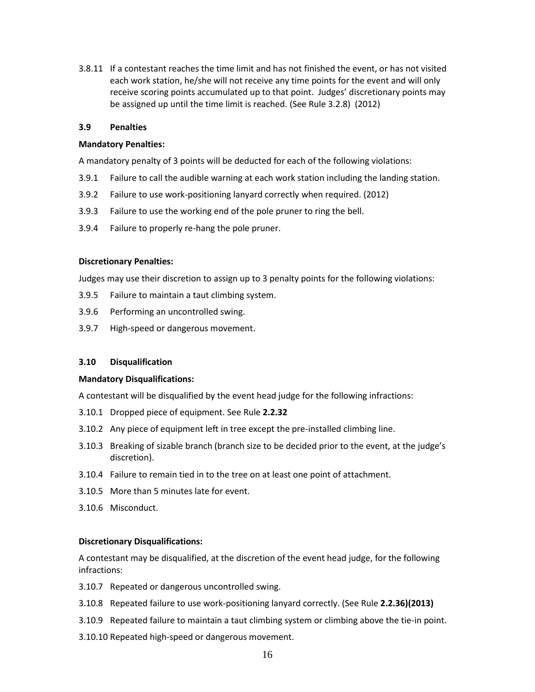3.8.11 If a contestant reaches the time limit and has not finished the event, or has not visited each work station, he/she will not receive any time points for the event and will only receive scoring points accumulated up to that point. Judges' discretionary points may be assigned up until the time limit is reached. (See Rule 3.2.8) (2012)

#### **3.9 Penalties**

#### **Mandatory Penalties:**

A mandatory penalty of 3 points will be deducted for each of the following violations:

- 3.9.1 Failure to call the audible warning at each work station including the landing station.
- 3.9.2 Failure to use work-positioning lanyard correctly when required. (2012)
- 3.9.3 Failure to use the working end of the pole pruner to ring the bell.
- 3.9.4 Failure to properly re-hang the pole pruner.

#### **Discretionary Penalties:**

Judges may use their discretion to assign up to 3 penalty points for the following violations:

- 3.9.5 Failure to maintain a taut climbing system.
- 3.9.6 Performing an uncontrolled swing.
- 3.9.7 High-speed or dangerous movement.

#### **3.10 Disqualification**

#### **Mandatory Disqualifications:**

A contestant will be disqualified by the event head judge for the following infractions:

- 3.10.1 Dropped piece of equipment. See Rule **2.2.32**
- 3.10.2 Any piece of equipment left in tree except the pre-installed climbing line.
- 3.10.3 Breaking of sizable branch (branch size to be decided prior to the event, at the judge's discretion).
- 3.10.4 Failure to remain tied in to the tree on at least one point of attachment.
- 3.10.5 More than 5 minutes late for event.
- 3.10.6 Misconduct.

#### **Discretionary Disqualifications:**

A contestant may be disqualified, at the discretion of the event head judge, for the following infractions:

- 3.10.7 Repeated or dangerous uncontrolled swing.
- 3.10.8 Repeated failure to use work-positioning lanyard correctly. (See Rule **2.2.36)(2013)**
- 3.10.9 Repeated failure to maintain a taut climbing system or climbing above the tie-in point.
- 3.10.10 Repeated high-speed or dangerous movement.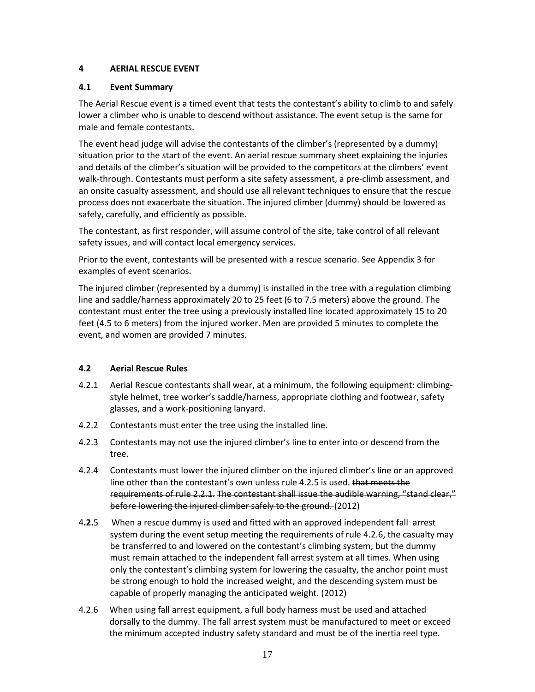## **4 AERIAL RESCUE EVENT**

## **4.1 Event Summary**

The Aerial Rescue event is a timed event that tests the contestant's ability to climb to and safely lower a climber who is unable to descend without assistance. The event setup is the same for male and female contestants.

The event head judge will advise the contestants of the climber's (represented by a dummy) situation prior to the start of the event. An aerial rescue summary sheet explaining the injuries and details of the climber's situation will be provided to the competitors at the climbers' event walk-through. Contestants must perform a site safety assessment, a pre-climb assessment, and an onsite casualty assessment, and should use all relevant techniques to ensure that the rescue process does not exacerbate the situation. The injured climber (dummy) should be lowered as safely, carefully, and efficiently as possible.

The contestant, as first responder, will assume control of the site, take control of all relevant safety issues, and will contact local emergency services.

Prior to the event, contestants will be presented with a rescue scenario. See Appendix 3 for examples of event scenarios.

The injured climber (represented by a dummy) is installed in the tree with a regulation climbing line and saddle/harness approximately 20 to 25 feet (6 to 7.5 meters) above the ground. The contestant must enter the tree using a previously installed line located approximately 15 to 20 feet (4.5 to 6 meters) from the injured worker. Men are provided 5 minutes to complete the event, and women are provided 7 minutes.

## **4.2 Aerial Rescue Rules**

- 4.2.1 Aerial Rescue contestants shall wear, at a minimum, the following equipment: climbingstyle helmet, tree worker's saddle/harness, appropriate clothing and footwear, safety glasses, and a work-positioning lanyard.
- 4.2.2 Contestants must enter the tree using the installed line.
- 4.2.3 Contestants may not use the injured climber's line to enter into or descend from the tree.
- 4.2.4 Contestants must lower the injured climber on the injured climber's line or an approved line other than the contestant's own unless rule 4.2.5 is used. that meets the requirements of rule 2.2.1. The contestant shall issue the audible warning, "stand clear," before lowering the injured climber safely to the ground. (2012)
- 4**.2.**5 When a rescue dummy is used and fitted with an approved independent fall arrest system during the event setup meeting the requirements of rule 4.2.6, the casualty may be transferred to and lowered on the contestant's climbing system, but the dummy must remain attached to the independent fall arrest system at all times. When using only the contestant's climbing system for lowering the casualty, the anchor point must be strong enough to hold the increased weight, and the descending system must be capable of properly managing the anticipated weight. (2012)
- 4.2.6 When using fall arrest equipment, a full body harness must be used and attached dorsally to the dummy. The fall arrest system must be manufactured to meet or exceed the minimum accepted industry safety standard and must be of the inertia reel type.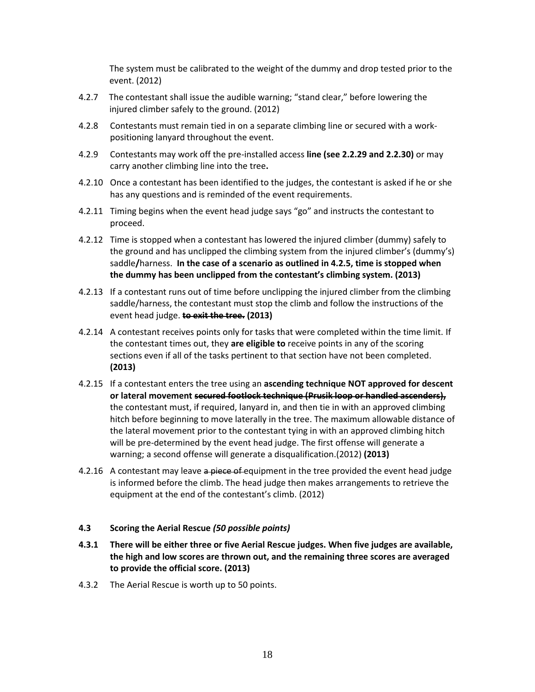The system must be calibrated to the weight of the dummy and drop tested prior to the event. (2012)

- 4.2.7 The contestant shall issue the audible warning; "stand clear," before lowering the injured climber safely to the ground. (2012)
- 4.2.8 Contestants must remain tied in on a separate climbing line or secured with a workpositioning lanyard throughout the event.
- 4.2.9 Contestants may work off the pre-installed access **line (see 2.2.29 and 2.2.30)** or may carry another climbing line into the tree**.**
- 4.2.10 Once a contestant has been identified to the judges, the contestant is asked if he or she has any questions and is reminded of the event requirements.
- 4.2.11 Timing begins when the event head judge says "go" and instructs the contestant to proceed.
- 4.2.12 Time is stopped when a contestant has lowered the injured climber (dummy) safely to the ground and has unclipped the climbing system from the injured climber's (dummy's) saddle**/**harness. **In the case of a scenario as outlined in 4.2.5, time is stopped when the dummy has been unclipped from the contestant's climbing system. (2013)**
- 4.2.13 If a contestant runs out of time before unclipping the injured climber from the climbing saddle/harness, the contestant must stop the climb and follow the instructions of the event head judge. **to exit the tree. (2013)**
- 4.2.14 A contestant receives points only for tasks that were completed within the time limit. If the contestant times out, they **are eligible to** receive points in any of the scoring sections even if all of the tasks pertinent to that section have not been completed. **(2013)**
- 4.2.15 If a contestant enters the tree using an **ascending technique NOT approved for descent or lateral movement secured footlock technique (Prusik loop or handled ascenders),** the contestant must, if required, lanyard in, and then tie in with an approved climbing hitch before beginning to move laterally in the tree. The maximum allowable distance of the lateral movement prior to the contestant tying in with an approved climbing hitch will be pre-determined by the event head judge. The first offense will generate a warning; a second offense will generate a disqualification.(2012) **(2013)**
- 4.2.16 A contestant may leave a piece of equipment in the tree provided the event head judge is informed before the climb. The head judge then makes arrangements to retrieve the equipment at the end of the contestant's climb. (2012)

#### **4.3 Scoring the Aerial Rescue** *(50 possible points)*

- **4.3.1 There will be either three or five Aerial Rescue judges. When five judges are available, the high and low scores are thrown out, and the remaining three scores are averaged to provide the official score. (2013)**
- 4.3.2 The Aerial Rescue is worth up to 50 points.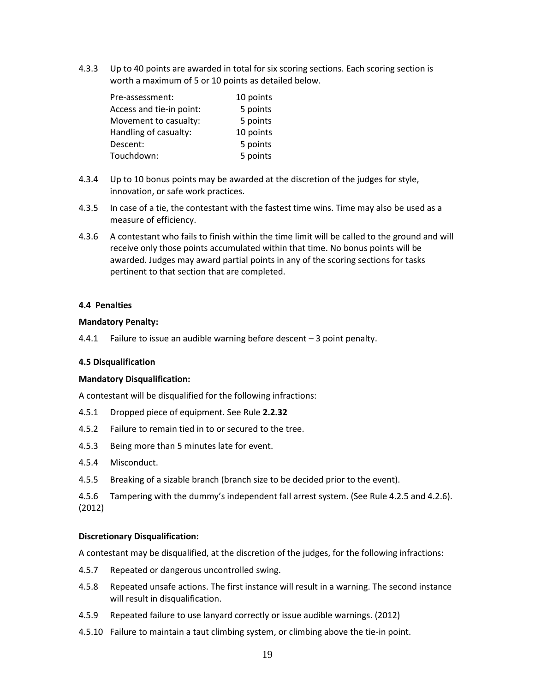4.3.3 Up to 40 points are awarded in total for six scoring sections. Each scoring section is worth a maximum of 5 or 10 points as detailed below.

| Pre-assessment:          | 10 points |
|--------------------------|-----------|
| Access and tie-in point: | 5 points  |
| Movement to casualty:    | 5 points  |
| Handling of casualty:    | 10 points |
| Descent:                 | 5 points  |
| Touchdown:               | 5 points  |

- 4.3.4 Up to 10 bonus points may be awarded at the discretion of the judges for style, innovation, or safe work practices.
- 4.3.5 In case of a tie, the contestant with the fastest time wins. Time may also be used as a measure of efficiency.
- 4.3.6 A contestant who fails to finish within the time limit will be called to the ground and will receive only those points accumulated within that time. No bonus points will be awarded. Judges may award partial points in any of the scoring sections for tasks pertinent to that section that are completed.

#### **4.4 Penalties**

#### **Mandatory Penalty:**

4.4.1 Failure to issue an audible warning before descent – 3 point penalty.

#### **4.5 Disqualification**

#### **Mandatory Disqualification:**

A contestant will be disqualified for the following infractions:

- 4.5.1 Dropped piece of equipment. See Rule **2.2.32**
- 4.5.2 Failure to remain tied in to or secured to the tree.
- 4.5.3 Being more than 5 minutes late for event.
- 4.5.4 Misconduct.
- 4.5.5 Breaking of a sizable branch (branch size to be decided prior to the event).
- 4.5.6 Tampering with the dummy's independent fall arrest system. (See Rule 4.2.5 and 4.2.6). (2012)

#### **Discretionary Disqualification:**

A contestant may be disqualified, at the discretion of the judges, for the following infractions:

- 4.5.7 Repeated or dangerous uncontrolled swing.
- 4.5.8 Repeated unsafe actions. The first instance will result in a warning. The second instance will result in disqualification.
- 4.5.9 Repeated failure to use lanyard correctly or issue audible warnings. (2012)
- 4.5.10 Failure to maintain a taut climbing system, or climbing above the tie-in point.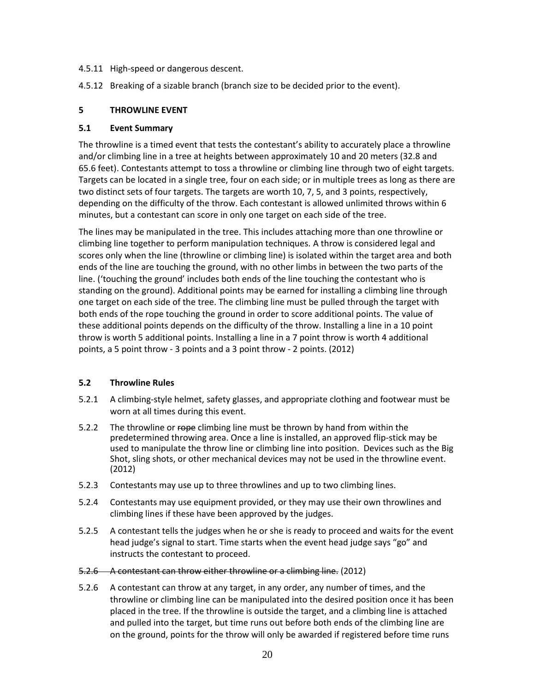- 4.5.11 High-speed or dangerous descent.
- 4.5.12 Breaking of a sizable branch (branch size to be decided prior to the event).

#### **5 THROWLINE EVENT**

#### **5.1 Event Summary**

The throwline is a timed event that tests the contestant's ability to accurately place a throwline and/or climbing line in a tree at heights between approximately 10 and 20 meters (32.8 and 65.6 feet). Contestants attempt to toss a throwline or climbing line through two of eight targets. Targets can be located in a single tree, four on each side; or in multiple trees as long as there are two distinct sets of four targets. The targets are worth 10, 7, 5, and 3 points, respectively, depending on the difficulty of the throw. Each contestant is allowed unlimited throws within 6 minutes, but a contestant can score in only one target on each side of the tree.

The lines may be manipulated in the tree. This includes attaching more than one throwline or climbing line together to perform manipulation techniques. A throw is considered legal and scores only when the line (throwline or climbing line) is isolated within the target area and both ends of the line are touching the ground, with no other limbs in between the two parts of the line. ('touching the ground' includes both ends of the line touching the contestant who is standing on the ground). Additional points may be earned for installing a climbing line through one target on each side of the tree. The climbing line must be pulled through the target with both ends of the rope touching the ground in order to score additional points. The value of these additional points depends on the difficulty of the throw. Installing a line in a 10 point throw is worth 5 additional points. Installing a line in a 7 point throw is worth 4 additional points, a 5 point throw - 3 points and a 3 point throw - 2 points. (2012)

#### **5.2 Throwline Rules**

- 5.2.1 A climbing-style helmet, safety glasses, and appropriate clothing and footwear must be worn at all times during this event.
- 5.2.2 The throwline or rope climbing line must be thrown by hand from within the predetermined throwing area. Once a line is installed, an approved flip-stick may be used to manipulate the throw line or climbing line into position. Devices such as the Big Shot, sling shots, or other mechanical devices may not be used in the throwline event. (2012)
- 5.2.3 Contestants may use up to three throwlines and up to two climbing lines.
- 5.2.4 Contestants may use equipment provided, or they may use their own throwlines and climbing lines if these have been approved by the judges.
- 5.2.5 A contestant tells the judges when he or she is ready to proceed and waits for the event head judge's signal to start. Time starts when the event head judge says "go" and instructs the contestant to proceed.

#### 5.2.6 A contestant can throw either throwline or a climbing line. (2012)

5.2.6 A contestant can throw at any target, in any order, any number of times, and the throwline or climbing line can be manipulated into the desired position once it has been placed in the tree. If the throwline is outside the target, and a climbing line is attached and pulled into the target, but time runs out before both ends of the climbing line are on the ground, points for the throw will only be awarded if registered before time runs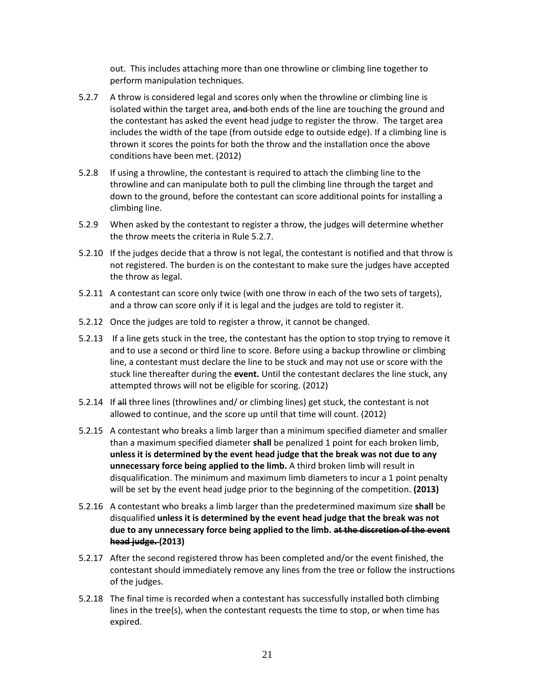out.This includes attaching more than one throwline or climbing line together to perform manipulation techniques.

- 5.2.7 A throw is considered legal and scores only when the throwline or climbing line is isolated within the target area, and both ends of the line are touching the ground and the contestant has asked the event head judge to register the throw. The target area includes the width of the tape (from outside edge to outside edge). If a climbing line is thrown it scores the points for both the throw and the installation once the above conditions have been met. (2012)
- 5.2.8 If using a throwline, the contestant is required to attach the climbing line to the throwline and can manipulate both to pull the climbing line through the target and down to the ground, before the contestant can score additional points for installing a climbing line.
- 5.2.9 When asked by the contestant to register a throw, the judges will determine whether the throw meets the criteria in Rule 5.2.7.
- 5.2.10 If the judges decide that a throw is not legal, the contestant is notified and that throw is not registered. The burden is on the contestant to make sure the judges have accepted the throw as legal.
- 5.2.11 A contestant can score only twice (with one throw in each of the two sets of targets), and a throw can score only if it is legal and the judges are told to register it.
- 5.2.12 Once the judges are told to register a throw, it cannot be changed.
- 5.2.13 If a line gets stuck in the tree, the contestant has the option to stop trying to remove it and to use a second or third line to score. Before using a backup throwline or climbing line, a contestant must declare the line to be stuck and may not use or score with the stuck line thereafter during the **event.** Until the contestant declares the line stuck, any attempted throws will not be eligible for scoring. (2012)
- 5.2.14 If all three lines (throwlines and/ or climbing lines) get stuck, the contestant is not allowed to continue, and the score up until that time will count. (2012)
- 5.2.15 A contestant who breaks a limb larger than a minimum specified diameter and smaller than a maximum specified diameter **shall** be penalized 1 point for each broken limb, **unless it is determined by the event head judge that the break was not due to any unnecessary force being applied to the limb.** A third broken limb will result in disqualification. The minimum and maximum limb diameters to incur a 1 point penalty will be set by the event head judge prior to the beginning of the competition. **(2013)**
- 5.2.16 A contestant who breaks a limb larger than the predetermined maximum size **shall** be disqualified **unless it is determined by the event head judge that the break was not due to any unnecessary force being applied to the limb. at the discretion of the event head judge. (2013)**
- 5.2.17 After the second registered throw has been completed and/or the event finished, the contestant should immediately remove any lines from the tree or follow the instructions of the judges.
- 5.2.18 The final time is recorded when a contestant has successfully installed both climbing lines in the tree(s), when the contestant requests the time to stop, or when time has expired.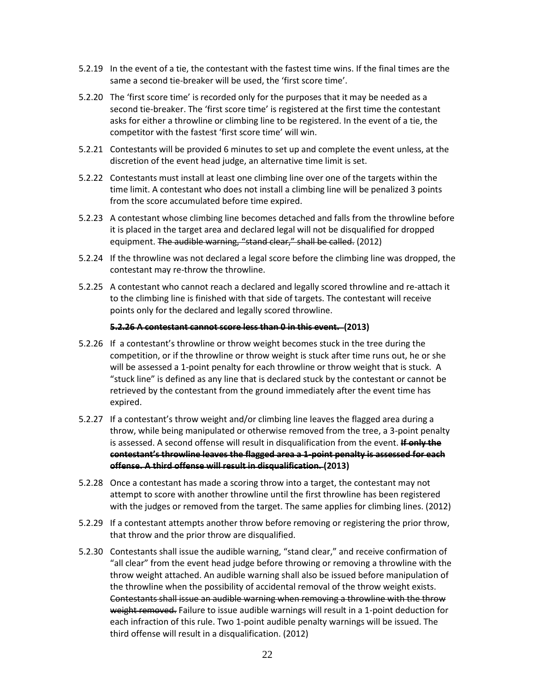- 5.2.19 In the event of a tie, the contestant with the fastest time wins. If the final times are the same a second tie-breaker will be used, the 'first score time'.
- 5.2.20 The 'first score time' is recorded only for the purposes that it may be needed as a second tie-breaker. The 'first score time' is registered at the first time the contestant asks for either a throwline or climbing line to be registered. In the event of a tie, the competitor with the fastest 'first score time' will win.
- 5.2.21 Contestants will be provided 6 minutes to set up and complete the event unless, at the discretion of the event head judge, an alternative time limit is set.
- 5.2.22 Contestants must install at least one climbing line over one of the targets within the time limit. A contestant who does not install a climbing line will be penalized 3 points from the score accumulated before time expired.
- 5.2.23 A contestant whose climbing line becomes detached and falls from the throwline before it is placed in the target area and declared legal will not be disqualified for dropped equipment. The audible warning, "stand clear," shall be called. (2012)
- 5.2.24 If the throwline was not declared a legal score before the climbing line was dropped, the contestant may re-throw the throwline.
- 5.2.25 A contestant who cannot reach a declared and legally scored throwline and re-attach it to the climbing line is finished with that side of targets. The contestant will receive points only for the declared and legally scored throwline.

#### **5.2.26 A contestant cannot score less than 0 in this event. (2013)**

- 5.2.26 If a contestant's throwline or throw weight becomes stuck in the tree during the competition, or if the throwline or throw weight is stuck after time runs out, he or she will be assessed a 1-point penalty for each throwline or throw weight that is stuck. A "stuck line" is defined as any line that is declared stuck by the contestant or cannot be retrieved by the contestant from the ground immediately after the event time has expired.
- 5.2.27 If a contestant's throw weight and/or climbing line leaves the flagged area during a throw, while being manipulated or otherwise removed from the tree, a 3-point penalty is assessed. A second offense will result in disqualification from the event. **If only the contestant's throwline leaves the flagged area a 1-point penalty is assessed for each offense. A third offense will result in disqualification. (2013)**
- 5.2.28 Once a contestant has made a scoring throw into a target, the contestant may not attempt to score with another throwline until the first throwline has been registered with the judges or removed from the target. The same applies for climbing lines. (2012)
- 5.2.29 If a contestant attempts another throw before removing or registering the prior throw, that throw and the prior throw are disqualified.
- 5.2.30 Contestants shall issue the audible warning, "stand clear," and receive confirmation of "all clear" from the event head judge before throwing or removing a throwline with the throw weight attached. An audible warning shall also be issued before manipulation of the throwline when the possibility of accidental removal of the throw weight exists. Contestants shall issue an audible warning when removing a throwline with the throw weight removed. Failure to issue audible warnings will result in a 1-point deduction for each infraction of this rule. Two 1-point audible penalty warnings will be issued. The third offense will result in a disqualification. (2012)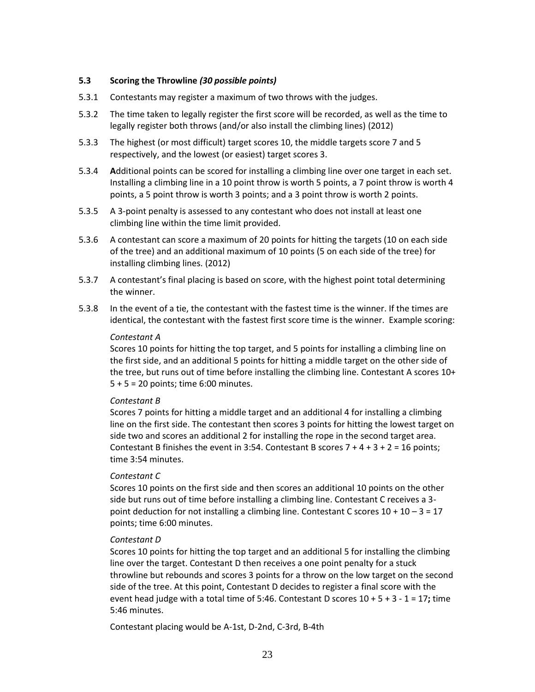#### **5.3 Scoring the Throwline** *(30 possible points)*

- 5.3.1 Contestants may register a maximum of two throws with the judges.
- 5.3.2 The time taken to legally register the first score will be recorded, as well as the time to legally register both throws (and/or also install the climbing lines) (2012)
- 5.3.3 The highest (or most difficult) target scores 10, the middle targets score 7 and 5 respectively, and the lowest (or easiest) target scores 3.
- 5.3.4 **A**dditional points can be scored for installing a climbing line over one target in each set. Installing a climbing line in a 10 point throw is worth 5 points, a 7 point throw is worth 4 points, a 5 point throw is worth 3 points; and a 3 point throw is worth 2 points.
- 5.3.5 A 3-point penalty is assessed to any contestant who does not install at least one climbing line within the time limit provided.
- 5.3.6 A contestant can score a maximum of 20 points for hitting the targets (10 on each side of the tree) and an additional maximum of 10 points (5 on each side of the tree) for installing climbing lines. (2012)
- 5.3.7 A contestant's final placing is based on score, with the highest point total determining the winner.
- 5.3.8 In the event of a tie, the contestant with the fastest time is the winner. If the times are identical, the contestant with the fastest first score time is the winner. Example scoring:

#### *Contestant A*

Scores 10 points for hitting the top target, and 5 points for installing a climbing line on the first side, and an additional 5 points for hitting a middle target on the other side of the tree, but runs out of time before installing the climbing line. Contestant A scores 10+ 5 + 5 = 20 points; time 6:00 minutes.

#### *Contestant B*

Scores 7 points for hitting a middle target and an additional 4 for installing a climbing line on the first side. The contestant then scores 3 points for hitting the lowest target on side two and scores an additional 2 for installing the rope in the second target area. Contestant B finishes the event in 3:54. Contestant B scores  $7 + 4 + 3 + 2 = 16$  points; time 3:54 minutes.

#### *Contestant C*

Scores 10 points on the first side and then scores an additional 10 points on the other side but runs out of time before installing a climbing line. Contestant C receives a 3 point deduction for not installing a climbing line. Contestant C scores  $10 + 10 - 3 = 17$ points; time 6:00 minutes.

#### *Contestant D*

Scores 10 points for hitting the top target and an additional 5 for installing the climbing line over the target. Contestant D then receives a one point penalty for a stuck throwline but rebounds and scores 3 points for a throw on the low target on the second side of the tree. At this point, Contestant D decides to register a final score with the event head judge with a total time of 5:46. Contestant D scores 10 + 5 + 3 - 1 = 17**;** time 5:46 minutes.

Contestant placing would be A-1st, D-2nd, C-3rd, B-4th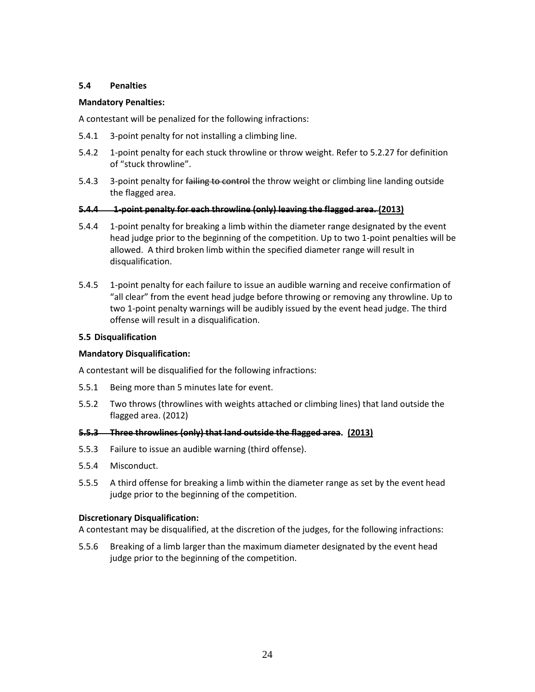#### **5.4 Penalties**

#### **Mandatory Penalties:**

A contestant will be penalized for the following infractions:

- 5.4.1 3-point penalty for not installing a climbing line.
- 5.4.2 1-point penalty for each stuck throwline or throw weight. Refer to 5.2.27 for definition of "stuck throwline".
- 5.4.3 3-point penalty for failing to control the throw weight or climbing line landing outside the flagged area.

#### **5.4.4 1-point penalty for each throwline (only) leaving the flagged area. (2013)**

- 5.4.4 1-point penalty for breaking a limb within the diameter range designated by the event head judge prior to the beginning of the competition. Up to two 1-point penalties will be allowed. A third broken limb within the specified diameter range will result in disqualification.
- 5.4.5 1-point penalty for each failure to issue an audible warning and receive confirmation of "all clear" from the event head judge before throwing or removing any throwline. Up to two 1-point penalty warnings will be audibly issued by the event head judge. The third offense will result in a disqualification.

#### **5.5 Disqualification**

#### **Mandatory Disqualification:**

A contestant will be disqualified for the following infractions:

- 5.5.1 Being more than 5 minutes late for event.
- 5.5.2 Two throws (throwlines with weights attached or climbing lines) that land outside the flagged area. (2012)

#### **5.5.3 Three throwlines (only) that land outside the flagged area. (2013)**

- 5.5.3 Failure to issue an audible warning (third offense).
- 5.5.4 Misconduct.
- 5.5.5 A third offense for breaking a limb within the diameter range as set by the event head judge prior to the beginning of the competition.

#### **Discretionary Disqualification:**

A contestant may be disqualified, at the discretion of the judges, for the following infractions:

5.5.6 Breaking of a limb larger than the maximum diameter designated by the event head judge prior to the beginning of the competition.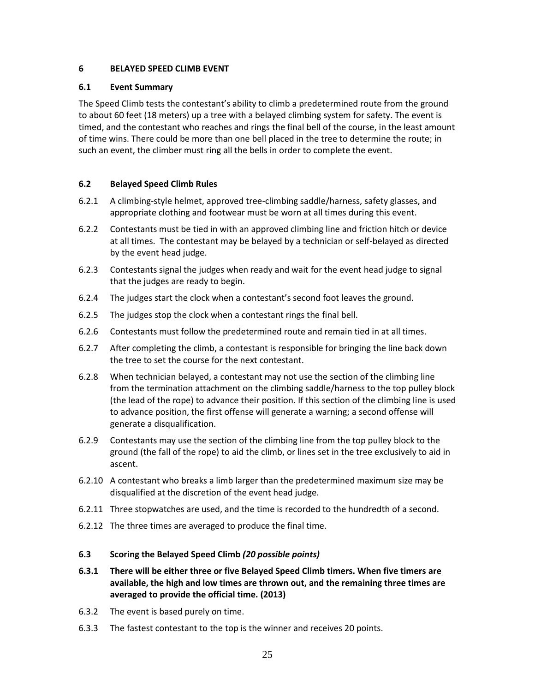## **6 BELAYED SPEED CLIMB EVENT**

## **6.1 Event Summary**

The Speed Climb tests the contestant's ability to climb a predetermined route from the ground to about 60 feet (18 meters) up a tree with a belayed climbing system for safety. The event is timed, and the contestant who reaches and rings the final bell of the course, in the least amount of time wins. There could be more than one bell placed in the tree to determine the route; in such an event, the climber must ring all the bells in order to complete the event.

## **6.2 Belayed Speed Climb Rules**

- 6.2.1 A climbing-style helmet, approved tree-climbing saddle/harness, safety glasses, and appropriate clothing and footwear must be worn at all times during this event.
- 6.2.2 Contestants must be tied in with an approved climbing line and friction hitch or device at all times. The contestant may be belayed by a technician or self-belayed as directed by the event head judge.
- 6.2.3 Contestants signal the judges when ready and wait for the event head judge to signal that the judges are ready to begin.
- 6.2.4 The judges start the clock when a contestant's second foot leaves the ground.
- 6.2.5 The judges stop the clock when a contestant rings the final bell.
- 6.2.6 Contestants must follow the predetermined route and remain tied in at all times.
- 6.2.7 After completing the climb, a contestant is responsible for bringing the line back down the tree to set the course for the next contestant.
- 6.2.8 When technician belayed, a contestant may not use the section of the climbing line from the termination attachment on the climbing saddle/harness to the top pulley block (the lead of the rope) to advance their position. If this section of the climbing line is used to advance position, the first offense will generate a warning; a second offense will generate a disqualification.
- 6.2.9 Contestants may use the section of the climbing line from the top pulley block to the ground (the fall of the rope) to aid the climb, or lines set in the tree exclusively to aid in ascent.
- 6.2.10 A contestant who breaks a limb larger than the predetermined maximum size may be disqualified at the discretion of the event head judge.
- 6.2.11 Three stopwatches are used, and the time is recorded to the hundredth of a second.
- 6.2.12 The three times are averaged to produce the final time.

#### **6.3 Scoring the Belayed Speed Climb** *(20 possible points)*

- **6.3.1 There will be either three or five Belayed Speed Climb timers. When five timers are available, the high and low times are thrown out, and the remaining three times are averaged to provide the official time. (2013)**
- 6.3.2 The event is based purely on time.
- 6.3.3 The fastest contestant to the top is the winner and receives 20 points.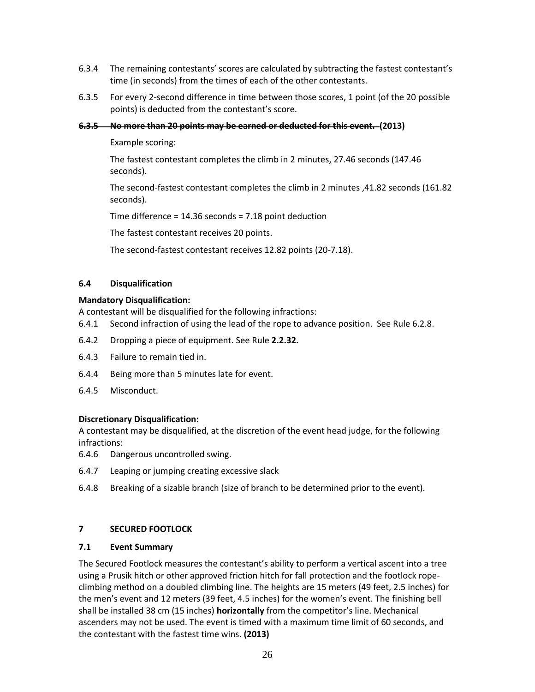- 6.3.4 The remaining contestants' scores are calculated by subtracting the fastest contestant's time (in seconds) from the times of each of the other contestants.
- 6.3.5 For every 2-second difference in time between those scores, 1 point (of the 20 possible points) is deducted from the contestant's score.

#### **6.3.5 No more than 20 points may be earned or deducted for this event. (2013)**

Example scoring:

The fastest contestant completes the climb in 2 minutes, 27.46 seconds (147.46 seconds).

The second-fastest contestant completes the climb in 2 minutes ,41.82 seconds (161.82 seconds).

Time difference = 14.36 seconds = 7.18 point deduction

The fastest contestant receives 20 points.

The second-fastest contestant receives 12.82 points (20-7.18).

#### **6.4 Disqualification**

#### **Mandatory Disqualification:**

A contestant will be disqualified for the following infractions:

- 6.4.1 Second infraction of using the lead of the rope to advance position. See Rule 6.2.8.
- 6.4.2 Dropping a piece of equipment. See Rule **2.2.32.**
- 6.4.3 Failure to remain tied in.
- 6.4.4 Being more than 5 minutes late for event.
- 6.4.5 Misconduct.

#### **Discretionary Disqualification:**

A contestant may be disqualified, at the discretion of the event head judge, for the following infractions:

- 6.4.6 Dangerous uncontrolled swing.
- 6.4.7 Leaping or jumping creating excessive slack
- 6.4.8 Breaking of a sizable branch (size of branch to be determined prior to the event).

## **7 SECURED FOOTLOCK**

#### **7.1 Event Summary**

The Secured Footlock measures the contestant's ability to perform a vertical ascent into a tree using a Prusik hitch or other approved friction hitch for fall protection and the footlock ropeclimbing method on a doubled climbing line. The heights are 15 meters (49 feet, 2.5 inches) for the men's event and 12 meters (39 feet, 4.5 inches) for the women's event. The finishing bell shall be installed 38 cm (15 inches) **horizontally** from the competitor's line. Mechanical ascenders may not be used. The event is timed with a maximum time limit of 60 seconds, and the contestant with the fastest time wins. **(2013)**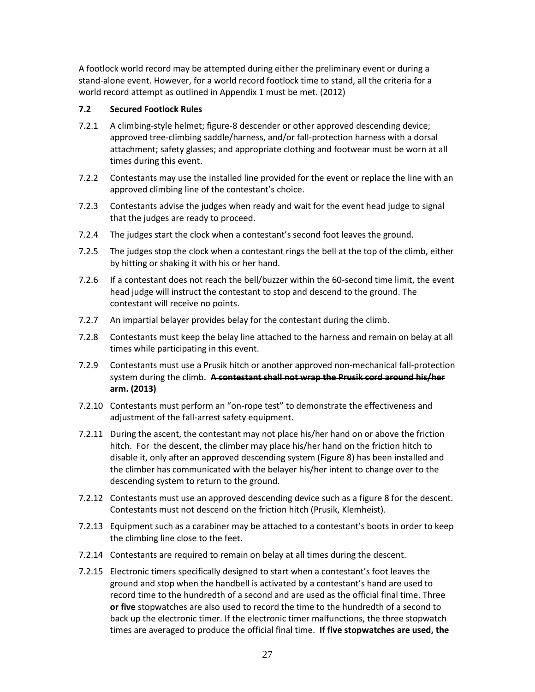A footlock world record may be attempted during either the preliminary event or during a stand-alone event. However, for a world record footlock time to stand, all the criteria for a world record attempt as outlined in Appendix 1 must be met. (2012)

## **7.2 Secured Footlock Rules**

- 7.2.1 A climbing-style helmet; figure-8 descender or other approved descending device; approved tree-climbing saddle/harness, and/or fall-protection harness with a dorsal attachment; safety glasses; and appropriate clothing and footwear must be worn at all times during this event.
- 7.2.2 Contestants may use the installed line provided for the event or replace the line with an approved climbing line of the contestant's choice.
- 7.2.3 Contestants advise the judges when ready and wait for the event head judge to signal that the judges are ready to proceed.
- 7.2.4 The judges start the clock when a contestant's second foot leaves the ground.
- 7.2.5 The judges stop the clock when a contestant rings the bell at the top of the climb, either by hitting or shaking it with his or her hand.
- 7.2.6 If a contestant does not reach the bell/buzzer within the 60-second time limit, the event head judge will instruct the contestant to stop and descend to the ground. The contestant will receive no points.
- 7.2.7 An impartial belayer provides belay for the contestant during the climb.
- 7.2.8 Contestants must keep the belay line attached to the harness and remain on belay at all times while participating in this event.
- 7.2.9 Contestants must use a Prusik hitch or another approved non-mechanical fall-protection system during the climb**. A contestant shall not wrap the Prusik cord around his/her arm. (2013)**
- 7.2.10 Contestants must perform an "on-rope test" to demonstrate the effectiveness and adjustment of the fall-arrest safety equipment.
- 7.2.11 During the ascent, the contestant may not place his/her hand on or above the friction hitch. For the descent, the climber may place his/her hand on the friction hitch to disable it, only after an approved descending system (Figure 8) has been installed and the climber has communicated with the belayer his/her intent to change over to the descending system to return to the ground.
- 7.2.12 Contestants must use an approved descending device such as a figure 8 for the descent. Contestants must not descend on the friction hitch (Prusik, Klemheist).
- 7.2.13 Equipment such as a carabiner may be attached to a contestant's boots in order to keep the climbing line close to the feet.
- 7.2.14 Contestants are required to remain on belay at all times during the descent.
- 7.2.15 Electronic timers specifically designed to start when a contestant's foot leaves the ground and stop when the handbell is activated by a contestant's hand are used to record time to the hundredth of a second and are used as the official final time. Three **or five** stopwatches are also used to record the time to the hundredth of a second to back up the electronic timer. If the electronic timer malfunctions, the three stopwatch times are averaged to produce the official final time. **If five stopwatches are used, the**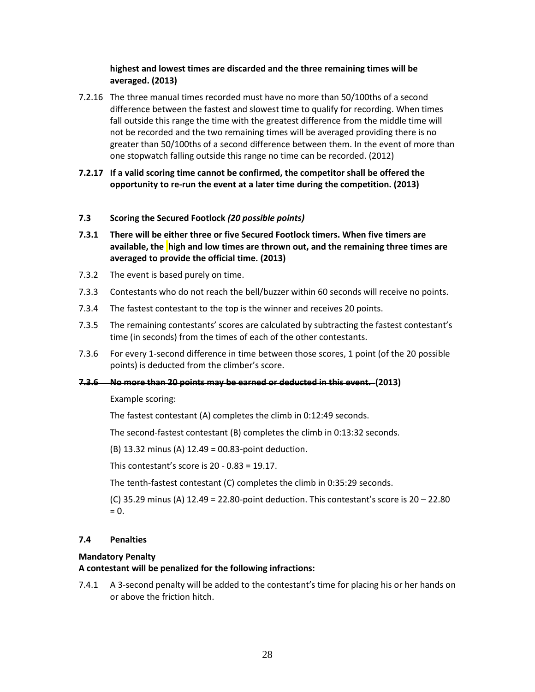## **highest and lowest times are discarded and the three remaining times will be averaged. (2013)**

- 7.2.16 The three manual times recorded must have no more than 50/100ths of a second difference between the fastest and slowest time to qualify for recording. When times fall outside this range the time with the greatest difference from the middle time will not be recorded and the two remaining times will be averaged providing there is no greater than 50/100ths of a second difference between them. In the event of more than one stopwatch falling outside this range no time can be recorded. (2012)
- **7.2.17 If a valid scoring time cannot be confirmed, the competitor shall be offered the opportunity to re-run the event at a later time during the competition. (2013)**

#### **7.3 Scoring the Secured Footlock** *(20 possible points)*

- **7.3.1 There will be either three or five Secured Footlock timers. When five timers are available, the high and low times are thrown out, and the remaining three times are averaged to provide the official time. (2013)**
- 7.3.2 The event is based purely on time.
- 7.3.3 Contestants who do not reach the bell/buzzer within 60 seconds will receive no points.
- 7.3.4 The fastest contestant to the top is the winner and receives 20 points.
- 7.3.5 The remaining contestants' scores are calculated by subtracting the fastest contestant's time (in seconds) from the times of each of the other contestants.
- 7.3.6 For every 1-second difference in time between those scores, 1 point (of the 20 possible points) is deducted from the climber's score.

#### **7.3.6 No more than 20 points may be earned or deducted in this event. (2013)**

Example scoring:

The fastest contestant (A) completes the climb in 0:12:49 seconds.

The second-fastest contestant (B) completes the climb in 0:13:32 seconds.

(B) 13.32 minus (A) 12.49 = 00.83-point deduction.

This contestant's score is 20 - 0.83 = 19.17.

The tenth-fastest contestant (C) completes the climb in 0:35:29 seconds.

(C) 35.29 minus (A) 12.49 = 22.80-point deduction. This contestant's score is 20 – 22.80  $= 0.$ 

## **7.4 Penalties**

#### **Mandatory Penalty**

#### **A contestant will be penalized for the following infractions:**

7.4.1 A 3-second penalty will be added to the contestant's time for placing his or her hands on or above the friction hitch.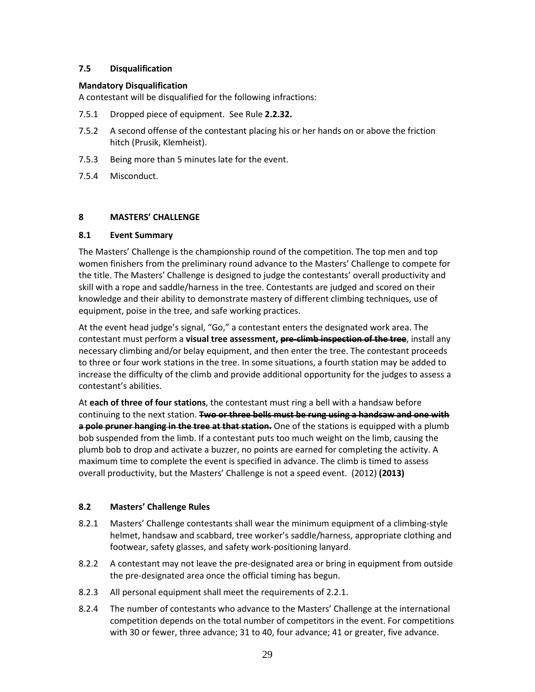## **7.5 Disqualification**

## **Mandatory Disqualification**

A contestant will be disqualified for the following infractions:

- 7.5.1 Dropped piece of equipment. See Rule **2.2.32.**
- 7.5.2 A second offense of the contestant placing his or her hands on or above the friction hitch (Prusik, Klemheist).
- 7.5.3 Being more than 5 minutes late for the event.
- 7.5.4 Misconduct.

## **8 MASTERS' CHALLENGE**

#### **8.1 Event Summary**

The Masters' Challenge is the championship round of the competition. The top men and top women finishers from the preliminary round advance to the Masters' Challenge to compete for the title. The Masters' Challenge is designed to judge the contestants' overall productivity and skill with a rope and saddle/harness in the tree. Contestants are judged and scored on their knowledge and their ability to demonstrate mastery of different climbing techniques, use of equipment, poise in the tree, and safe working practices.

At the event head judge's signal, "Go," a contestant enters the designated work area. The contestant must perform a **visual tree assessment, pre-climb inspection of the tree**, install any necessary climbing and/or belay equipment, and then enter the tree. The contestant proceeds to three or four work stations in the tree. In some situations, a fourth station may be added to increase the difficulty of the climb and provide additional opportunity for the judges to assess a contestant's abilities.

At **each of three of four stations**, the contestant must ring a bell with a handsaw before continuing to the next station. **Two or three bells must be rung using a handsaw and one with a pole pruner hanging in the tree at that station.** One of the stations is equipped with a plumb bob suspended from the limb. If a contestant puts too much weight on the limb, causing the plumb bob to drop and activate a buzzer, no points are earned for completing the activity. A maximum time to complete the event is specified in advance. The climb is timed to assess overall productivity, but the Masters' Challenge is not a speed event. (2012) **(2013)**

## **8.2 Masters' Challenge Rules**

- 8.2.1 Masters' Challenge contestants shall wear the minimum equipment of a climbing-style helmet, handsaw and scabbard, tree worker's saddle/harness, appropriate clothing and footwear, safety glasses, and safety work-positioning lanyard.
- 8.2.2 A contestant may not leave the pre-designated area or bring in equipment from outside the pre-designated area once the official timing has begun.
- 8.2.3 All personal equipment shall meet the requirements of 2.2.1.
- 8.2.4 The number of contestants who advance to the Masters' Challenge at the international competition depends on the total number of competitors in the event. For competitions with 30 or fewer, three advance; 31 to 40, four advance; 41 or greater, five advance.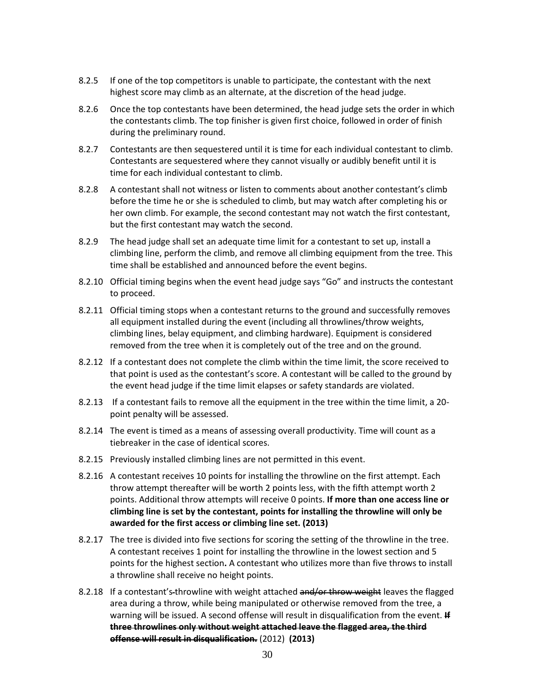- 8.2.5 If one of the top competitors is unable to participate, the contestant with the next highest score may climb as an alternate, at the discretion of the head judge.
- 8.2.6 Once the top contestants have been determined, the head judge sets the order in which the contestants climb. The top finisher is given first choice, followed in order of finish during the preliminary round.
- 8.2.7 Contestants are then sequestered until it is time for each individual contestant to climb. Contestants are sequestered where they cannot visually or audibly benefit until it is time for each individual contestant to climb.
- 8.2.8 A contestant shall not witness or listen to comments about another contestant's climb before the time he or she is scheduled to climb, but may watch after completing his or her own climb. For example, the second contestant may not watch the first contestant, but the first contestant may watch the second.
- 8.2.9 The head judge shall set an adequate time limit for a contestant to set up, install a climbing line, perform the climb, and remove all climbing equipment from the tree. This time shall be established and announced before the event begins.
- 8.2.10 Official timing begins when the event head judge says "Go" and instructs the contestant to proceed.
- 8.2.11 Official timing stops when a contestant returns to the ground and successfully removes all equipment installed during the event (including all throwlines/throw weights, climbing lines, belay equipment, and climbing hardware). Equipment is considered removed from the tree when it is completely out of the tree and on the ground.
- 8.2.12 If a contestant does not complete the climb within the time limit, the score received to that point is used as the contestant's score. A contestant will be called to the ground by the event head judge if the time limit elapses or safety standards are violated.
- 8.2.13 If a contestant fails to remove all the equipment in the tree within the time limit, a 20 point penalty will be assessed.
- 8.2.14 The event is timed as a means of assessing overall productivity. Time will count as a tiebreaker in the case of identical scores.
- 8.2.15 Previously installed climbing lines are not permitted in this event.
- 8.2.16 A contestant receives 10 points for installing the throwline on the first attempt. Each throw attempt thereafter will be worth 2 points less, with the fifth attempt worth 2 points. Additional throw attempts will receive 0 points. **If more than one access line or climbing line is set by the contestant, points for installing the throwline will only be awarded for the first access or climbing line set. (2013)**
- 8.2.17 The tree is divided into five sections for scoring the setting of the throwline in the tree. A contestant receives 1 point for installing the throwline in the lowest section and 5 points for the highest section**.** A contestant who utilizes more than five throws to install a throwline shall receive no height points.
- 8.2.18 If a contestant's-throwline with weight attached and/or throw weight leaves the flagged area during a throw, while being manipulated or otherwise removed from the tree, a warning will be issued. A second offense will result in disqualification from the event. **If three throwlines only without weight attached leave the flagged area, the third offense will result in disqualification.** (2012) **(2013)**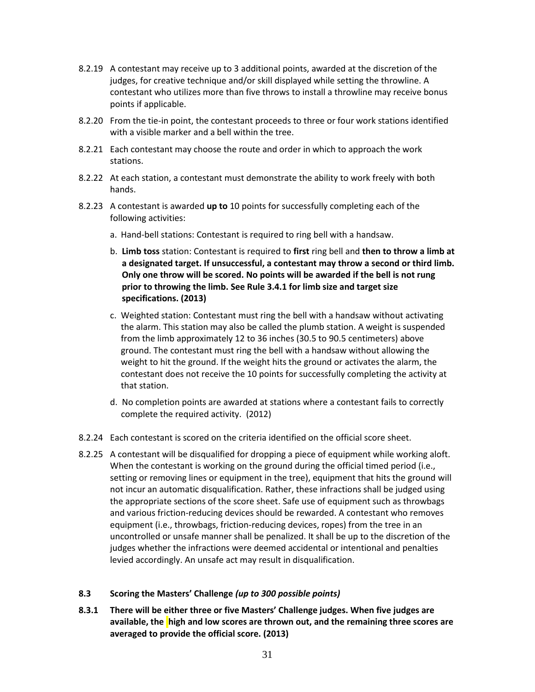- 8.2.19 A contestant may receive up to 3 additional points, awarded at the discretion of the judges, for creative technique and/or skill displayed while setting the throwline. A contestant who utilizes more than five throws to install a throwline may receive bonus points if applicable.
- 8.2.20 From the tie-in point, the contestant proceeds to three or four work stations identified with a visible marker and a bell within the tree.
- 8.2.21 Each contestant may choose the route and order in which to approach the work stations.
- 8.2.22 At each station, a contestant must demonstrate the ability to work freely with both hands.
- 8.2.23 A contestant is awarded **up to** 10 points for successfully completing each of the following activities:
	- a. Hand-bell stations: Contestant is required to ring bell with a handsaw.
	- b. **Limb toss** station: Contestant is required to **first** ring bell and **then to throw a limb at a designated target. If unsuccessful, a contestant may throw a second or third limb. Only one throw will be scored. No points will be awarded if the bell is not rung prior to throwing the limb. See Rule 3.4.1 for limb size and target size specifications. (2013)**
	- c. Weighted station: Contestant must ring the bell with a handsaw without activating the alarm. This station may also be called the plumb station. A weight is suspended from the limb approximately 12 to 36 inches (30.5 to 90.5 centimeters) above ground. The contestant must ring the bell with a handsaw without allowing the weight to hit the ground. If the weight hits the ground or activates the alarm, the contestant does not receive the 10 points for successfully completing the activity at that station.
	- d. No completion points are awarded at stations where a contestant fails to correctly complete the required activity. (2012)
- 8.2.24 Each contestant is scored on the criteria identified on the official score sheet.
- 8.2.25 A contestant will be disqualified for dropping a piece of equipment while working aloft. When the contestant is working on the ground during the official timed period (i.e., setting or removing lines or equipment in the tree), equipment that hits the ground will not incur an automatic disqualification. Rather, these infractions shall be judged using the appropriate sections of the score sheet. Safe use of equipment such as throwbags and various friction-reducing devices should be rewarded. A contestant who removes equipment (i.e., throwbags, friction-reducing devices, ropes) from the tree in an uncontrolled or unsafe manner shall be penalized. It shall be up to the discretion of the judges whether the infractions were deemed accidental or intentional and penalties levied accordingly. An unsafe act may result in disqualification.

## **8.3 Scoring the Masters' Challenge** *(up to 300 possible points)*

**8.3.1 There will be either three or five Masters' Challenge judges. When five judges are available, the high and low scores are thrown out, and the remaining three scores are averaged to provide the official score. (2013)**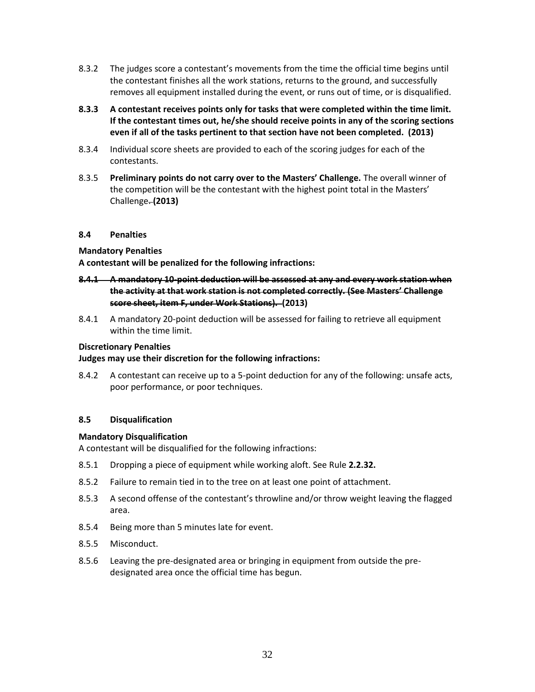- 8.3.2 The judges score a contestant's movements from the time the official time begins until the contestant finishes all the work stations, returns to the ground, and successfully removes all equipment installed during the event, or runs out of time, or is disqualified.
- **8.3.3 A contestant receives points only for tasks that were completed within the time limit. If the contestant times out, he/she should receive points in any of the scoring sections even if all of the tasks pertinent to that section have not been completed. (2013)**
- 8.3.4 Individual score sheets are provided to each of the scoring judges for each of the contestants.
- 8.3.5 **Preliminary points do not carry over to the Masters' Challenge.** The overall winner of the competition will be the contestant with the highest point total in the Masters' Challenge. **(2013)**

#### **8.4 Penalties**

#### **Mandatory Penalties**

**A contestant will be penalized for the following infractions:** 

- **8.4.1 A mandatory 10-point deduction will be assessed at any and every work station when the activity at that work station is not completed correctly. (See Masters' Challenge score sheet, item F, under Work Stations). (2013)**
- 8.4.1 A mandatory 20-point deduction will be assessed for failing to retrieve all equipment within the time limit.

#### **Discretionary Penalties**

#### **Judges may use their discretion for the following infractions:**

8.4.2 A contestant can receive up to a 5-point deduction for any of the following: unsafe acts, poor performance, or poor techniques.

#### **8.5 Disqualification**

#### **Mandatory Disqualification**

A contestant will be disqualified for the following infractions:

- 8.5.1 Dropping a piece of equipment while working aloft. See Rule **2.2.32.**
- 8.5.2 Failure to remain tied in to the tree on at least one point of attachment.
- 8.5.3 A second offense of the contestant's throwline and/or throw weight leaving the flagged area.
- 8.5.4 Being more than 5 minutes late for event.
- 8.5.5 Misconduct.
- 8.5.6 Leaving the pre-designated area or bringing in equipment from outside the predesignated area once the official time has begun.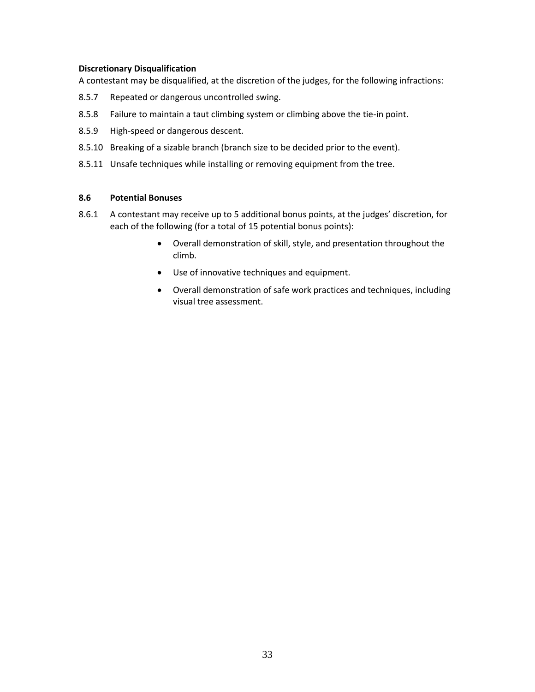#### **Discretionary Disqualification**

A contestant may be disqualified, at the discretion of the judges, for the following infractions:

- 8.5.7 Repeated or dangerous uncontrolled swing.
- 8.5.8 Failure to maintain a taut climbing system or climbing above the tie-in point.
- 8.5.9 High-speed or dangerous descent.
- 8.5.10 Breaking of a sizable branch (branch size to be decided prior to the event).
- 8.5.11 Unsafe techniques while installing or removing equipment from the tree.

#### **8.6 Potential Bonuses**

- 8.6.1 A contestant may receive up to 5 additional bonus points, at the judges' discretion, for each of the following (for a total of 15 potential bonus points):
	- Overall demonstration of skill, style, and presentation throughout the climb.
	- Use of innovative techniques and equipment.
	- Overall demonstration of safe work practices and techniques, including visual tree assessment.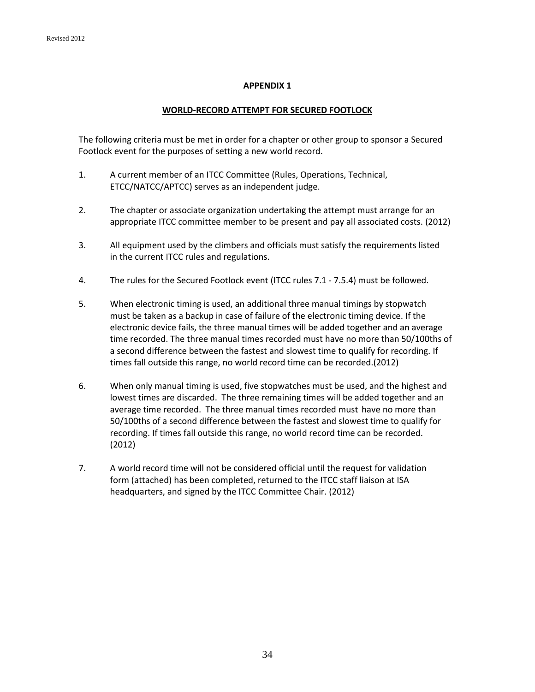#### **APPENDIX 1**

#### **WORLD-RECORD ATTEMPT FOR SECURED FOOTLOCK**

The following criteria must be met in order for a chapter or other group to sponsor a Secured Footlock event for the purposes of setting a new world record.

- 1. A current member of an ITCC Committee (Rules, Operations, Technical, ETCC/NATCC/APTCC) serves as an independent judge.
- 2. The chapter or associate organization undertaking the attempt must arrange for an appropriate ITCC committee member to be present and pay all associated costs. (2012)
- 3. All equipment used by the climbers and officials must satisfy the requirements listed in the current ITCC rules and regulations.
- 4. The rules for the Secured Footlock event (ITCC rules 7.1 7.5.4) must be followed.
- 5. When electronic timing is used, an additional three manual timings by stopwatch must be taken as a backup in case of failure of the electronic timing device. If the electronic device fails, the three manual times will be added together and an average time recorded. The three manual times recorded must have no more than 50/100ths of a second difference between the fastest and slowest time to qualify for recording. If times fall outside this range, no world record time can be recorded.(2012)
- 6. When only manual timing is used, five stopwatches must be used, and the highest and lowest times are discarded. The three remaining times will be added together and an average time recorded. The three manual times recorded must have no more than 50/100ths of a second difference between the fastest and slowest time to qualify for recording. If times fall outside this range, no world record time can be recorded. (2012)
- 7. A world record time will not be considered official until the request for validation form (attached) has been completed, returned to the ITCC staff liaison at ISA headquarters, and signed by the ITCC Committee Chair. (2012)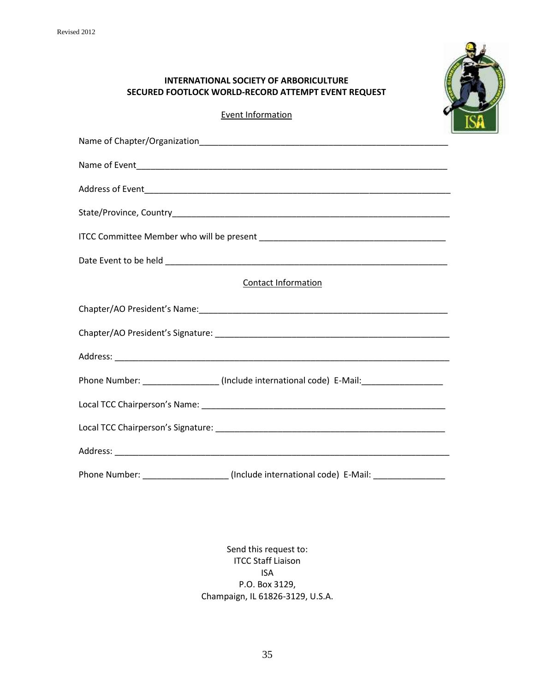

## **INTERNATIONAL SOCIETY OF ARBORICULTURE SECURED FOOTLOCK WORLD-RECORD ATTEMPT EVENT REQUEST**

Event Information

| Contact Information                                                                     |
|-----------------------------------------------------------------------------------------|
|                                                                                         |
|                                                                                         |
|                                                                                         |
| Phone Number: ___________________(Include international code) E-Mail:__________________ |
|                                                                                         |
|                                                                                         |
|                                                                                         |
| Phone Number: ____________________(Include international code) E-Mail: ________________ |

Send this request to: ITCC Staff Liaison ISA P.O. Box 3129, Champaign, IL 61826-3129, U.S.A.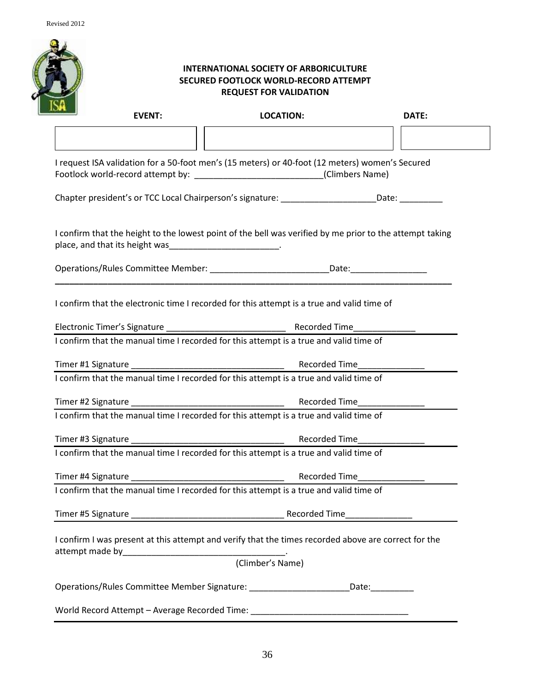

## **INTERNATIONAL SOCIETY OF ARBORICULTURE SECURED FOOTLOCK WORLD-RECORD ATTEMPT REQUEST FOR VALIDATION**

| <b>EVENT:</b>                                                                                                                                                                      | <b>LOCATION:</b> | DATE:                         |  |
|------------------------------------------------------------------------------------------------------------------------------------------------------------------------------------|------------------|-------------------------------|--|
|                                                                                                                                                                                    |                  |                               |  |
| I request ISA validation for a 50-foot men's (15 meters) or 40-foot (12 meters) women's Secured<br>Footlock world-record attempt by: ______________________________(Climbers Name) |                  |                               |  |
| Chapter president's or TCC Local Chairperson's signature: ______________________Date: ____________                                                                                 |                  |                               |  |
| I confirm that the height to the lowest point of the bell was verified by me prior to the attempt taking<br>place, and that its height was___________________________.             |                  |                               |  |
| Operations/Rules Committee Member: ________________________________Date: __________________________                                                                                |                  |                               |  |
| I confirm that the electronic time I recorded for this attempt is a true and valid time of                                                                                         |                  |                               |  |
|                                                                                                                                                                                    |                  |                               |  |
| I confirm that the manual time I recorded for this attempt is a true and valid time of                                                                                             |                  |                               |  |
|                                                                                                                                                                                    |                  |                               |  |
| I confirm that the manual time I recorded for this attempt is a true and valid time of                                                                                             |                  |                               |  |
|                                                                                                                                                                                    |                  |                               |  |
| I confirm that the manual time I recorded for this attempt is a true and valid time of                                                                                             |                  |                               |  |
|                                                                                                                                                                                    |                  |                               |  |
| I confirm that the manual time I recorded for this attempt is a true and valid time of                                                                                             |                  |                               |  |
|                                                                                                                                                                                    |                  | Recorded Time________________ |  |
| I confirm that the manual time I recorded for this attempt is a true and valid time of                                                                                             |                  |                               |  |
|                                                                                                                                                                                    |                  |                               |  |
| I confirm I was present at this attempt and verify that the times recorded above are correct for the                                                                               |                  |                               |  |
|                                                                                                                                                                                    | (Climber's Name) |                               |  |
| Operations/Rules Committee Member Signature: __________________________Date:__________                                                                                             |                  |                               |  |
| World Record Attempt - Average Recorded Time: __________________________________                                                                                                   |                  |                               |  |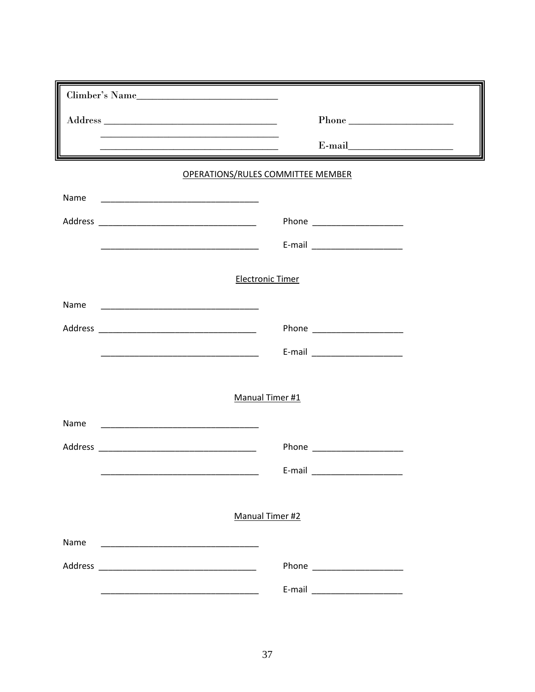| Climber's Name                                                                                                               |                                                                                                                                                                                                                                                                                                                                                                                                                                                                                                                                                                                                         |
|------------------------------------------------------------------------------------------------------------------------------|---------------------------------------------------------------------------------------------------------------------------------------------------------------------------------------------------------------------------------------------------------------------------------------------------------------------------------------------------------------------------------------------------------------------------------------------------------------------------------------------------------------------------------------------------------------------------------------------------------|
|                                                                                                                              | $\begin{tabular}{c}  \bf Phone \hspace{1cm} \begin{tabular}{c} \textbf{\textcolor{red}{\bf CP} \normalsize \textcolor{green}{\bf CP} \normalsize \textcolor{green}{\bf CP} \normalsize \textcolor{green}{\bf CP} \normalsize \textcolor{green}{\bf CP} \normalsize \textcolor{green}{\bf CP} \normalsize \textcolor{green}{\bf CP} \normalsize \textcolor{green}{\bf CP} \normalsize \textcolor{green}{\bf CP} \normalsize \textcolor{green}{\bf CP} \normalsize \textcolor{green}{\bf CP} \normalsize \textcolor{green}{\bf CP} \normalsize \textcolor{green}{\bf CP} \normalsize \textcolor{green}{\$ |
| <u> 1989 - Jan Samuel Barbara, margaret eta idazlea (h. 1989).</u>                                                           |                                                                                                                                                                                                                                                                                                                                                                                                                                                                                                                                                                                                         |
| <b>OPERATIONS/RULES COMMITTEE MEMBER</b>                                                                                     |                                                                                                                                                                                                                                                                                                                                                                                                                                                                                                                                                                                                         |
| Name                                                                                                                         |                                                                                                                                                                                                                                                                                                                                                                                                                                                                                                                                                                                                         |
|                                                                                                                              |                                                                                                                                                                                                                                                                                                                                                                                                                                                                                                                                                                                                         |
|                                                                                                                              |                                                                                                                                                                                                                                                                                                                                                                                                                                                                                                                                                                                                         |
| <b>Electronic Timer</b>                                                                                                      |                                                                                                                                                                                                                                                                                                                                                                                                                                                                                                                                                                                                         |
|                                                                                                                              |                                                                                                                                                                                                                                                                                                                                                                                                                                                                                                                                                                                                         |
| Name                                                                                                                         |                                                                                                                                                                                                                                                                                                                                                                                                                                                                                                                                                                                                         |
|                                                                                                                              |                                                                                                                                                                                                                                                                                                                                                                                                                                                                                                                                                                                                         |
|                                                                                                                              |                                                                                                                                                                                                                                                                                                                                                                                                                                                                                                                                                                                                         |
| Manual Timer #1                                                                                                              |                                                                                                                                                                                                                                                                                                                                                                                                                                                                                                                                                                                                         |
| Name<br><u> 1980 - Andrea Andrews, amerikansk politik (</u>                                                                  |                                                                                                                                                                                                                                                                                                                                                                                                                                                                                                                                                                                                         |
|                                                                                                                              | Phone ____________________                                                                                                                                                                                                                                                                                                                                                                                                                                                                                                                                                                              |
|                                                                                                                              | E-mail                                                                                                                                                                                                                                                                                                                                                                                                                                                                                                                                                                                                  |
|                                                                                                                              |                                                                                                                                                                                                                                                                                                                                                                                                                                                                                                                                                                                                         |
| Manual Timer #2                                                                                                              |                                                                                                                                                                                                                                                                                                                                                                                                                                                                                                                                                                                                         |
| Name<br><u> 1980 - Jan James, martin amerikan basar dan berasal dari berasal dalam basar dalam basar dalam basar dalam b</u> |                                                                                                                                                                                                                                                                                                                                                                                                                                                                                                                                                                                                         |
|                                                                                                                              |                                                                                                                                                                                                                                                                                                                                                                                                                                                                                                                                                                                                         |
|                                                                                                                              |                                                                                                                                                                                                                                                                                                                                                                                                                                                                                                                                                                                                         |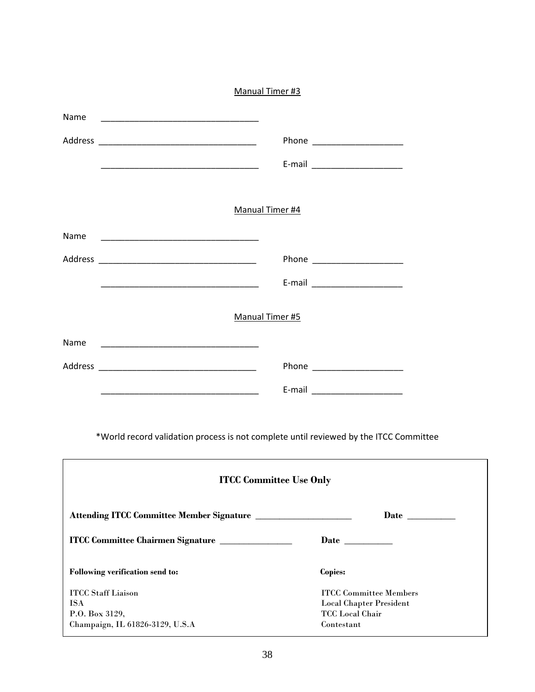|                              |                                                                                                                      | Manual Timer #3                |                                                          |
|------------------------------|----------------------------------------------------------------------------------------------------------------------|--------------------------------|----------------------------------------------------------|
| Name                         | <u> 1989 - Johann John Stone, market fan it ferstjer fan it ferstjer fan it ferstjer fan it ferstjer fan it fers</u> |                                |                                                          |
|                              |                                                                                                                      |                                |                                                          |
|                              |                                                                                                                      |                                |                                                          |
|                              |                                                                                                                      |                                |                                                          |
|                              |                                                                                                                      | Manual Timer #4                |                                                          |
| Name                         |                                                                                                                      |                                |                                                          |
|                              |                                                                                                                      |                                |                                                          |
|                              |                                                                                                                      |                                | E-mail ________________________                          |
|                              |                                                                                                                      | Manual Timer #5                |                                                          |
| Name                         |                                                                                                                      |                                |                                                          |
|                              |                                                                                                                      |                                | Phone ___________________                                |
|                              | <u> 1989 - Johann John Harry, mars and de Brasilian (b. 1989)</u>                                                    |                                |                                                          |
|                              | *World record validation process is not complete until reviewed by the ITCC Committee                                |                                |                                                          |
|                              |                                                                                                                      | <b>ITCC Committee Use Only</b> |                                                          |
|                              |                                                                                                                      |                                |                                                          |
|                              | ITCC Committee Chairmen Signature                                                                                    |                                |                                                          |
|                              | Following verification send to:                                                                                      |                                | Copies:                                                  |
| <b>ITCC Staff Liaison</b>    |                                                                                                                      |                                | <b>ITCC Committee Members</b>                            |
| <b>ISA</b><br>P.O. Box 3129, |                                                                                                                      |                                | <b>Local Chapter President</b><br><b>TCC</b> Local Chair |
|                              | Champaign, IL 61826-3129, U.S.A                                                                                      |                                | Contextant                                               |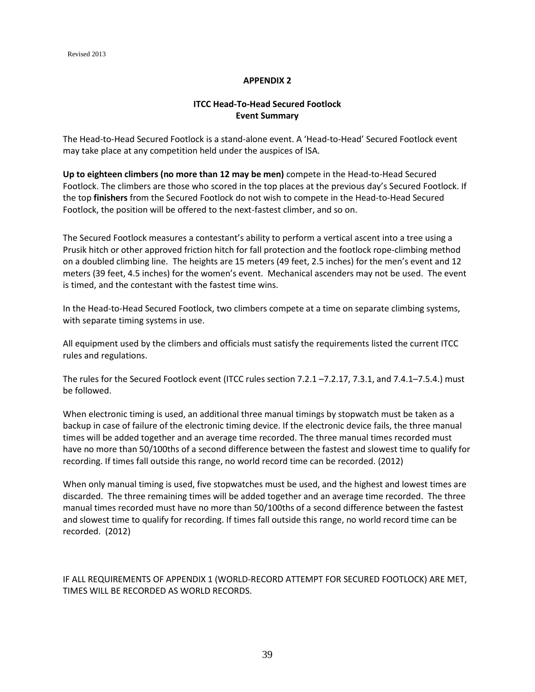#### **APPENDIX 2**

#### **ITCC Head-To-Head Secured Footlock Event Summary**

The Head-to-Head Secured Footlock is a stand-alone event. A 'Head-to-Head' Secured Footlock event may take place at any competition held under the auspices of ISA.

**Up to eighteen climbers (no more than 12 may be men)** compete in the Head-to-Head Secured Footlock. The climbers are those who scored in the top places at the previous day's Secured Footlock. If the top **finishers** from the Secured Footlock do not wish to compete in the Head-to-Head Secured Footlock, the position will be offered to the next-fastest climber, and so on.

The Secured Footlock measures a contestant's ability to perform a vertical ascent into a tree using a Prusik hitch or other approved friction hitch for fall protection and the footlock rope-climbing method on a doubled climbing line. The heights are 15 meters (49 feet, 2.5 inches) for the men's event and 12 meters (39 feet, 4.5 inches) for the women's event. Mechanical ascenders may not be used. The event is timed, and the contestant with the fastest time wins.

In the Head-to-Head Secured Footlock, two climbers compete at a time on separate climbing systems, with separate timing systems in use.

All equipment used by the climbers and officials must satisfy the requirements listed the current ITCC rules and regulations.

The rules for the Secured Footlock event (ITCC rules section 7.2.1 –7.2.17, 7.3.1, and 7.4.1–7.5.4.) must be followed.

When electronic timing is used, an additional three manual timings by stopwatch must be taken as a backup in case of failure of the electronic timing device. If the electronic device fails, the three manual times will be added together and an average time recorded. The three manual times recorded must have no more than 50/100ths of a second difference between the fastest and slowest time to qualify for recording. If times fall outside this range, no world record time can be recorded. (2012)

When only manual timing is used, five stopwatches must be used, and the highest and lowest times are discarded. The three remaining times will be added together and an average time recorded. The three manual times recorded must have no more than 50/100ths of a second difference between the fastest and slowest time to qualify for recording. If times fall outside this range, no world record time can be recorded. (2012)

IF ALL REQUIREMENTS OF APPENDIX 1 (WORLD-RECORD ATTEMPT FOR SECURED FOOTLOCK) ARE MET, TIMES WILL BE RECORDED AS WORLD RECORDS.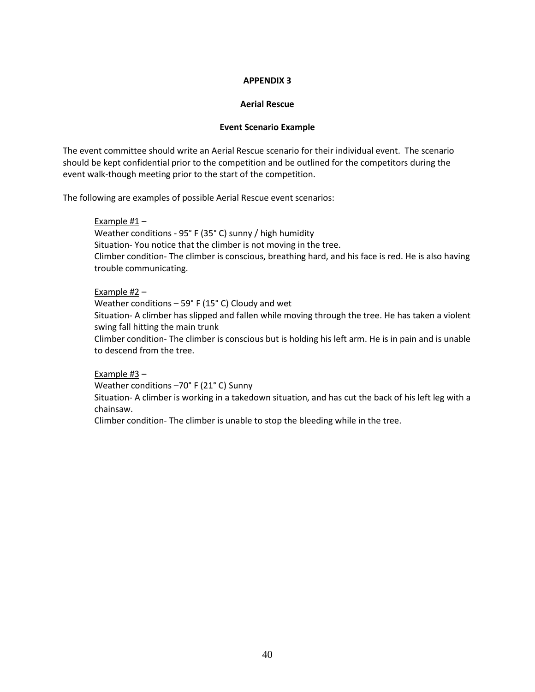#### **APPENDIX 3**

#### **Aerial Rescue**

#### **Event Scenario Example**

The event committee should write an Aerial Rescue scenario for their individual event. The scenario should be kept confidential prior to the competition and be outlined for the competitors during the event walk-though meeting prior to the start of the competition.

The following are examples of possible Aerial Rescue event scenarios:

#### Example #1 –

Weather conditions - 95° F (35° C) sunny / high humidity Situation- You notice that the climber is not moving in the tree. Climber condition- The climber is conscious, breathing hard, and his face is red. He is also having trouble communicating.

#### Example #2 –

Weather conditions – 59° F (15° C) Cloudy and wet

Situation- A climber has slipped and fallen while moving through the tree. He has taken a violent swing fall hitting the main trunk

Climber condition- The climber is conscious but is holding his left arm. He is in pain and is unable to descend from the tree.

#### Example #3 –

Weather conditions –70° F (21° C) Sunny

Situation- A climber is working in a takedown situation, and has cut the back of his left leg with a chainsaw.

Climber condition- The climber is unable to stop the bleeding while in the tree.